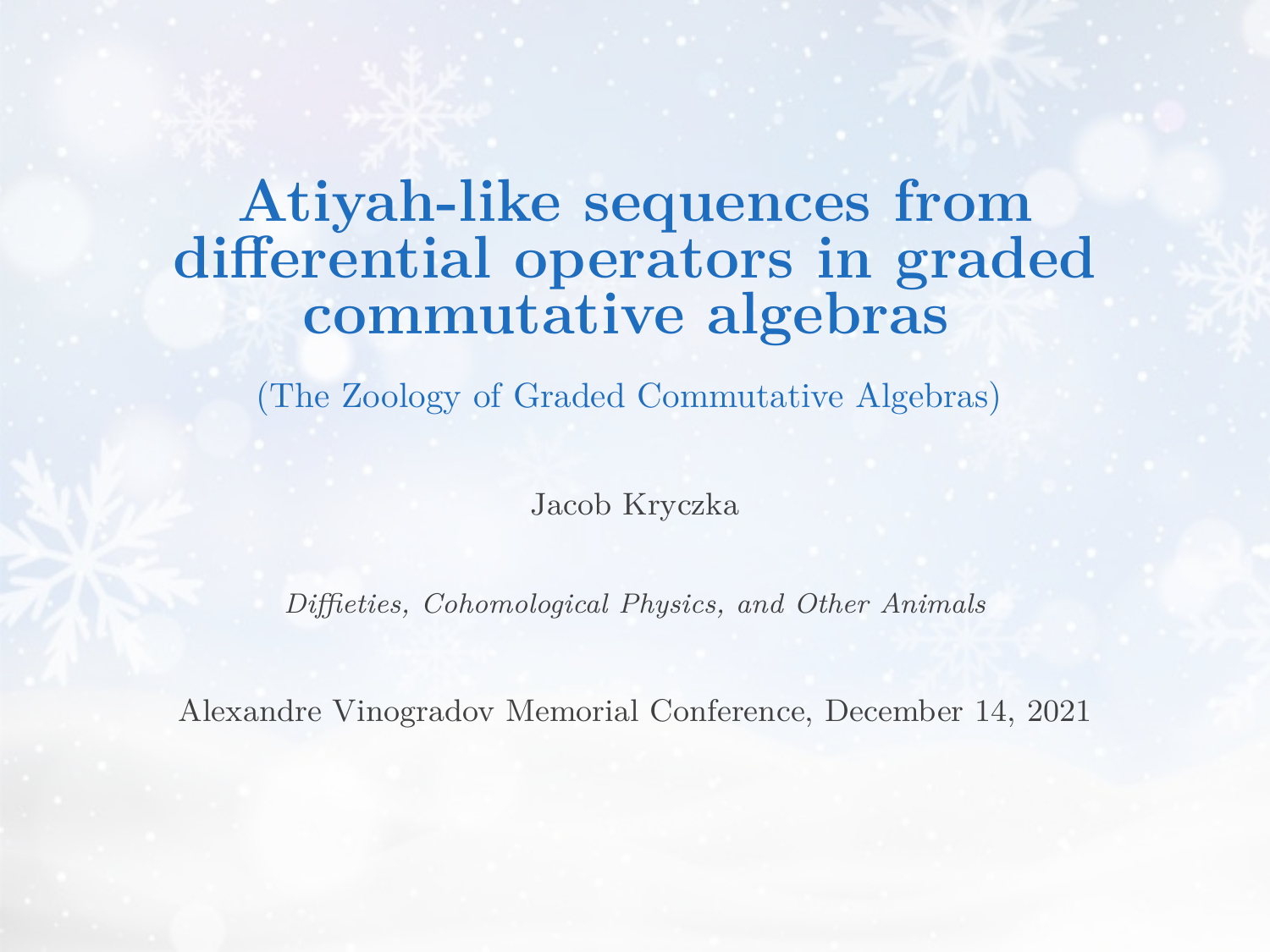# **Atiyah-like sequences from differential operators in graded commutative algebras**

(The Zoology of Graded Commutative Algebras)

Jacob Kryczka

*Diffieties, Cohomological Physics, and Other Animals*

Alexandre Vinogradov Memorial Conference, December 14, 2021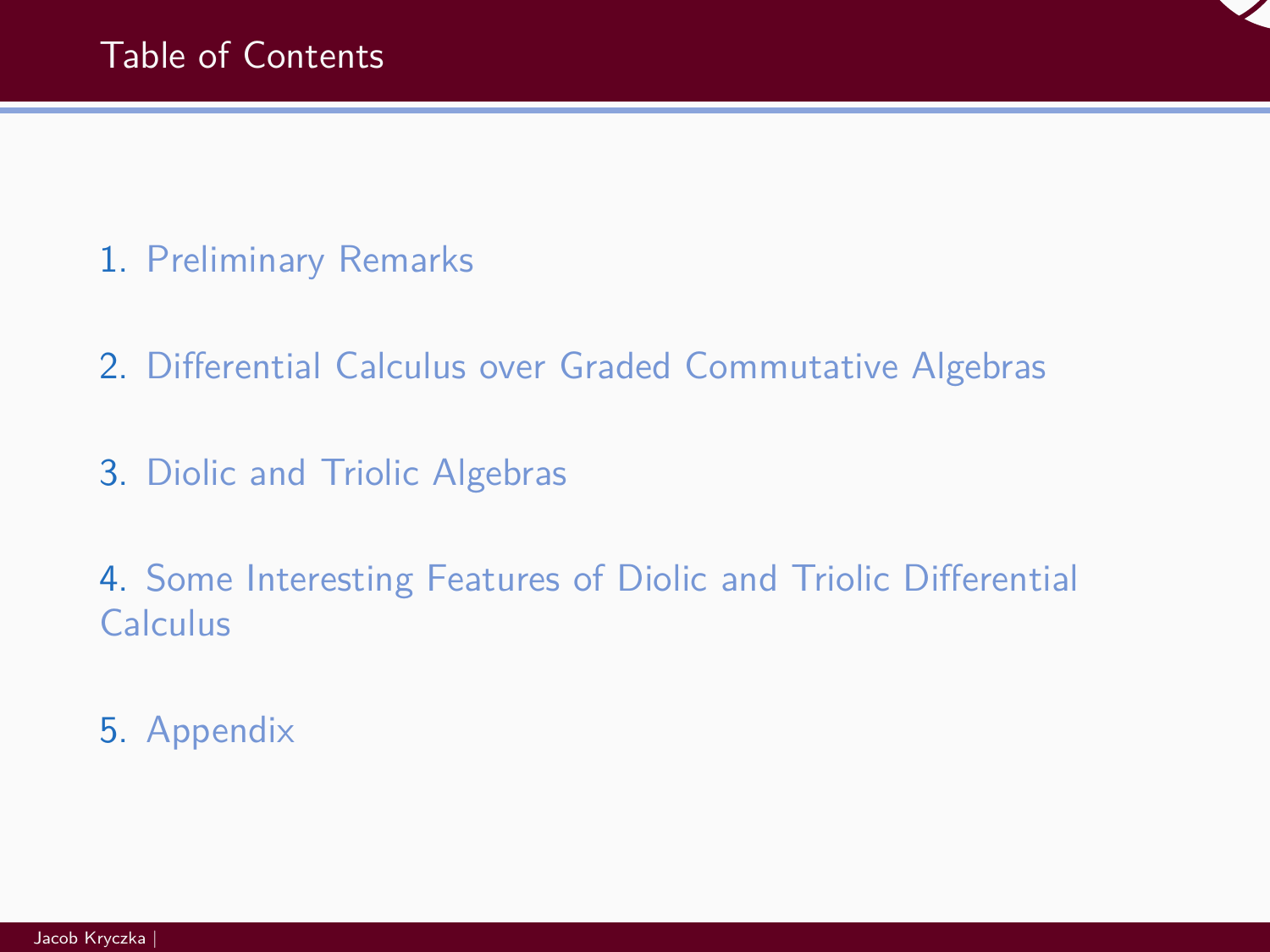- 1. [Preliminary Remarks](#page-4-0)
- 2. [Differential Calculus over Graded Commutative Algebras](#page-12-0)
- 3. [Diolic and Triolic Algebras](#page-17-0)

4. [Some Interesting Features of Diolic and Triolic Differential](#page-23-0) [Calculus](#page-23-0)

5. [Appendix](#page-36-0)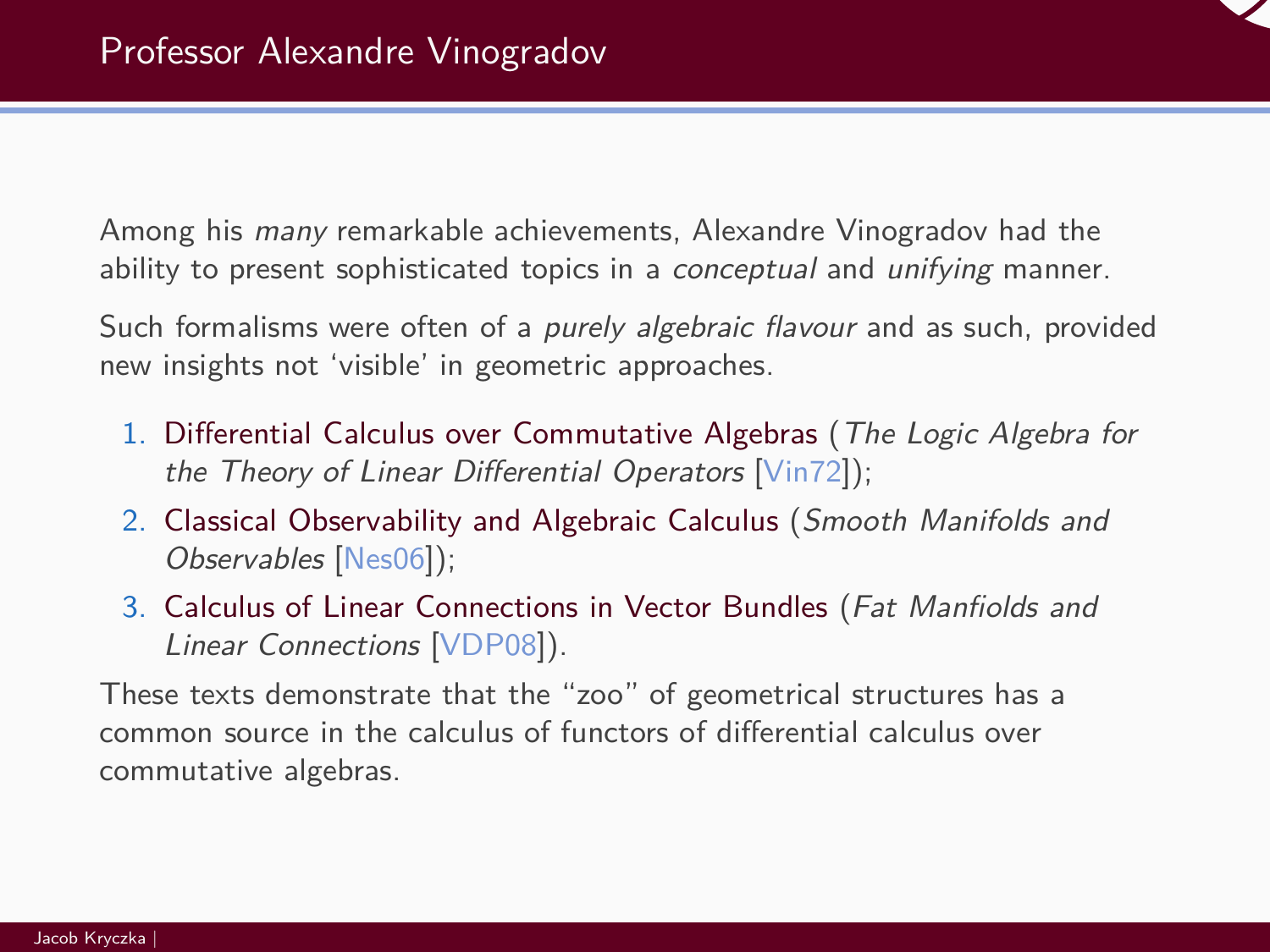Among his many remarkable achievements, Alexandre Vinogradov had the ability to present sophisticated topics in a *conceptual* and *unifying* manner.

Such formalisms were often of a purely algebraic flavour and as such, provided new insights not 'visible' in geometric approaches.

- 1. Differential Calculus over Commutative Algebras (The Logic Algebra for the Theory of Linear Differential Operators [\[Vin72\]](#page-43-0));
- 2. Classical Observability and Algebraic Calculus (Smooth Manifolds and Observables [\[Nes06\]](#page-42-0));
- 3. Calculus of Linear Connections in Vector Bundles (Fat Manfiolds and Linear Connections [\[VDP08\]](#page-42-1)).

These texts demonstrate that the "zoo" of geometrical structures has a common source in the calculus of functors of differential calculus over commutative algebras.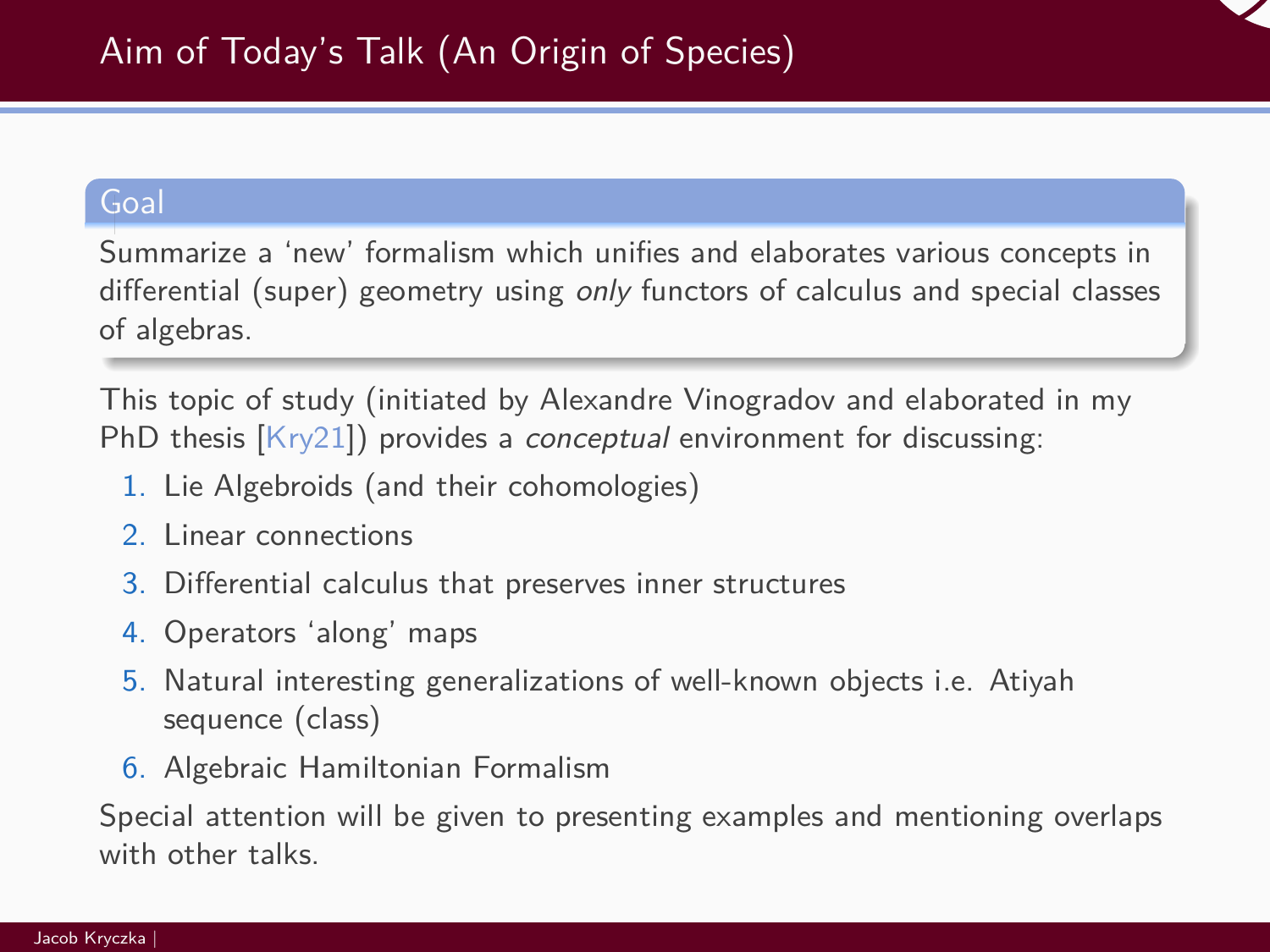

#### Goal

Summarize a 'new' formalism which unifies and elaborates various concepts in differential (super) geometry using only functors of calculus and special classes of algebras.

This topic of study (initiated by Alexandre Vinogradov and elaborated in my PhD thesis [\[Kry21\]](#page-42-2)) provides a conceptual environment for discussing:

- 1. Lie Algebroids (and their cohomologies)
- 2. Linear connections
- 3. Differential calculus that preserves inner structures
- 4. Operators 'along' maps
- 5. Natural interesting generalizations of well-known objects i.e. Atiyah sequence (class)
- 6. Algebraic Hamiltonian Formalism

Special attention will be given to presenting examples and mentioning overlaps with other talks.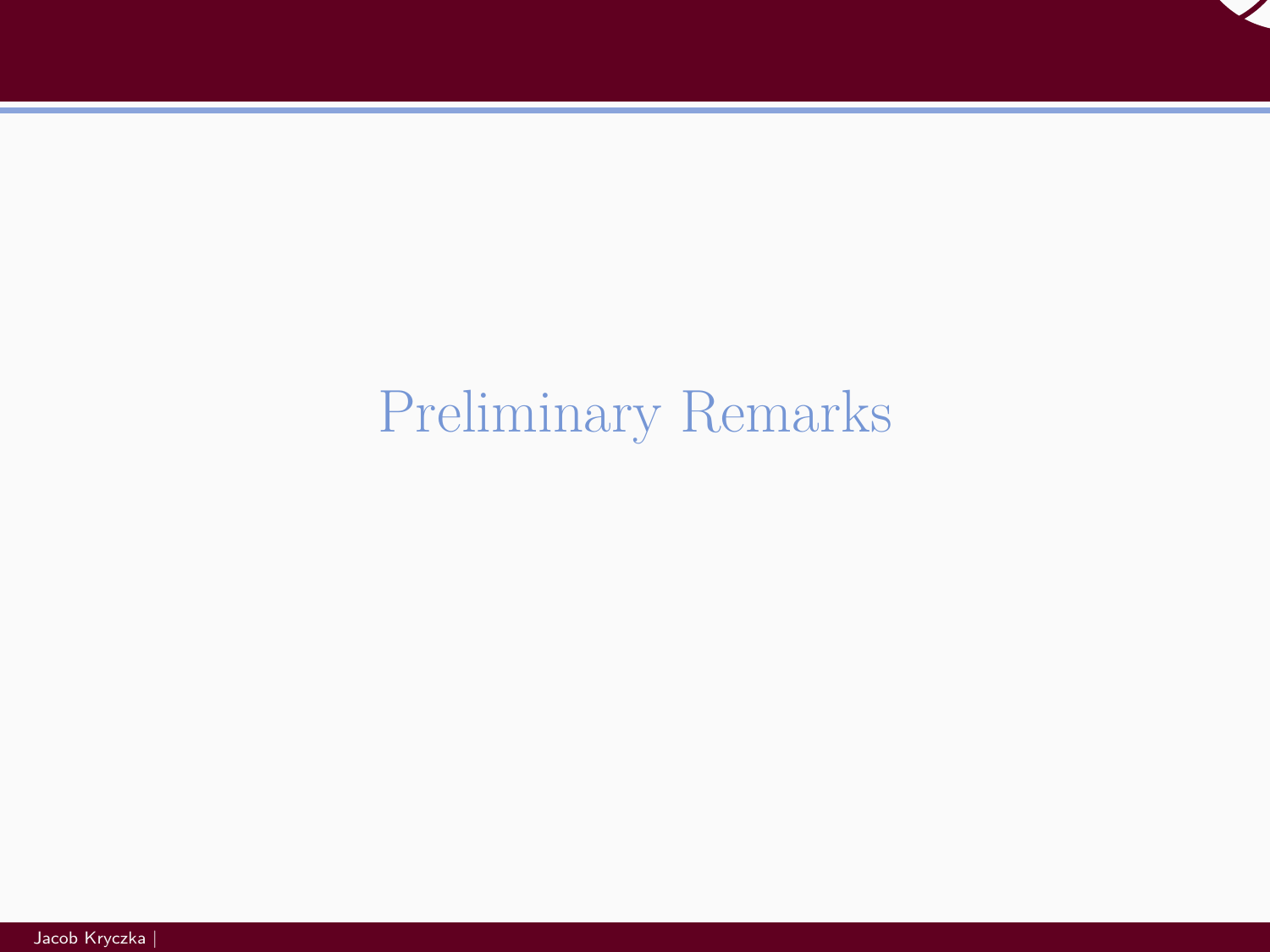

# <span id="page-4-0"></span>[Preliminary Remarks](#page-4-0)

Jacob Kryczka |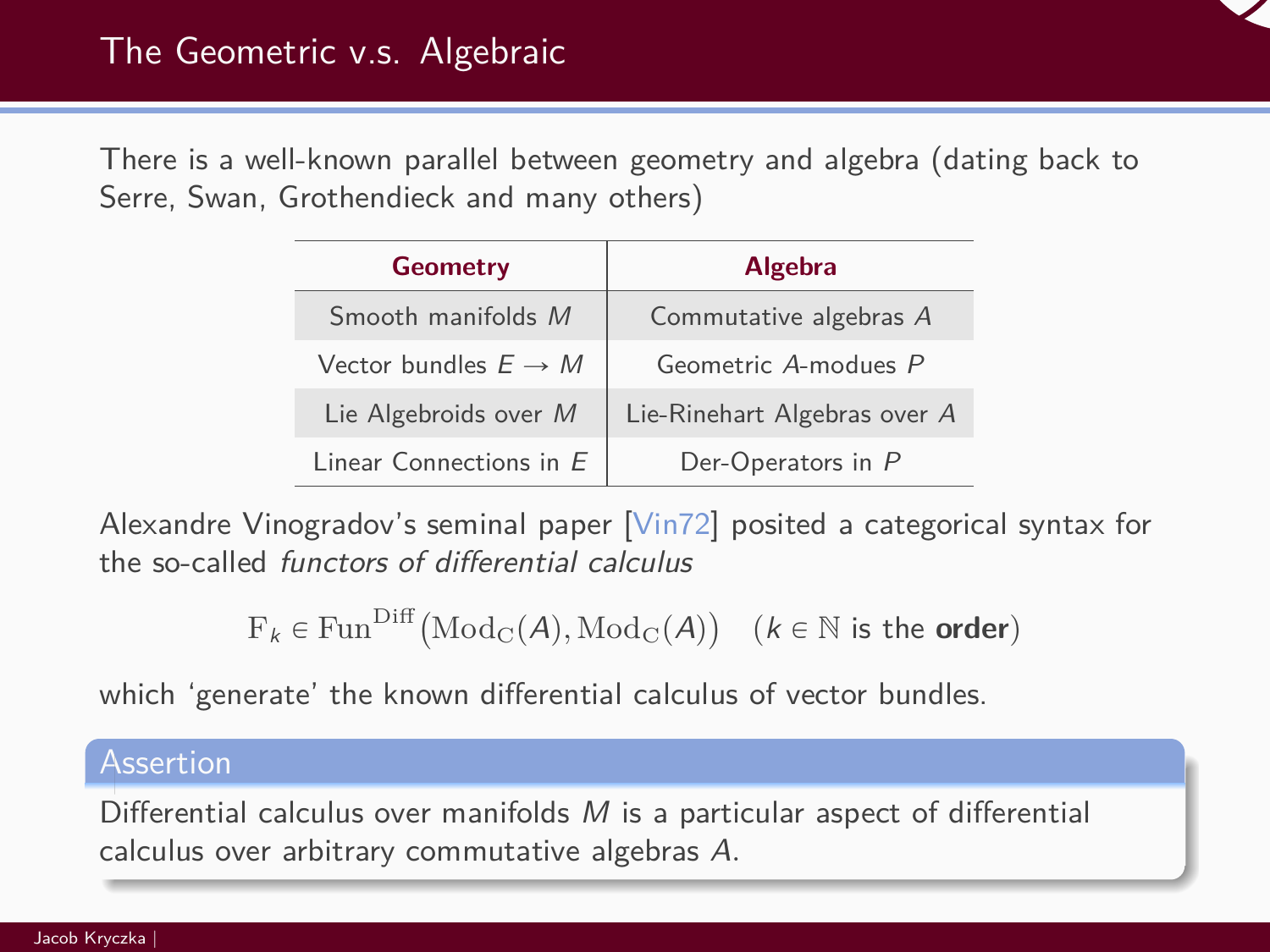

There is a well-known parallel between geometry and algebra (dating back to Serre, Swan, Grothendieck and many others)

| <b>Geometry</b>                  | <b>Algebra</b>               |  |
|----------------------------------|------------------------------|--|
| Smooth manifolds M               | Commutative algebras A       |  |
| Vector bundles $E \rightarrow M$ | Geometric A-modues P         |  |
| Lie Algebroids over M            | Lie-Rinehart Algebras over A |  |
| Linear Connections in $E$        | Der-Operators in P           |  |

Alexandre Vinogradov's seminal paper [\[Vin72\]](#page-43-0) posited a categorical syntax for the so-called functors of differential calculus

```
F_k \in \text{Fun}^{\text{Diff}}(\text{Mod}_\mathbf{C}(\mathcal{A}), \text{Mod}_\mathbf{C}(\mathcal{A}))(k \in \mathbb{N} \text{ is the order})
```
which 'generate' the known differential calculus of vector bundles.

#### Assertion

Differential calculus over manifolds  $M$  is a particular aspect of differential calculus over arbitrary commutative algebras A*.*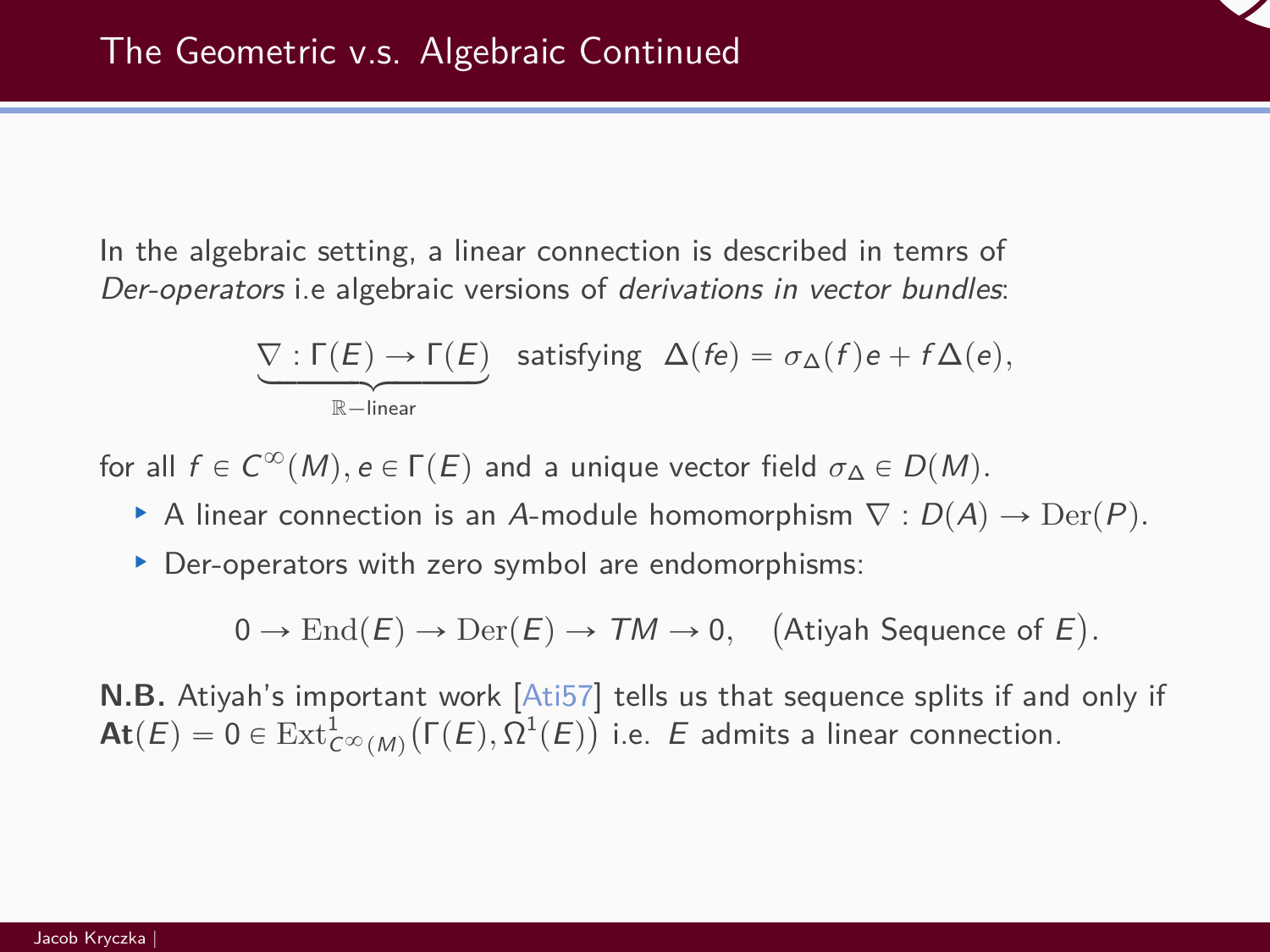In the algebraic setting, a linear connection is described in temrs of Der-operators i.e algebraic versions of derivations in vector bundles:

$$
\underbrace{\nabla : \Gamma(E) \rightarrow \Gamma(E)}_{\mathbb{R}-{\rm linear}} \quad \text{satisfying} \quad \Delta(\textit{fe}) = \sigma_{\Delta}(\textit{f})\textit{e} + \textit{f}\,\Delta(\textit{e}),
$$

for all  $f \in C^\infty(M)$ ,  $e \in \Gamma(E)$  and a unique vector field  $\sigma_\Delta \in D(M)$ .

- ▶ A linear connection is an A-module homomorphism  $\nabla$  :  $D(A) \rightarrow \text{Der}(P)$ .
- § Der-operators with zero symbol are endomorphisms:

 $0 \to \text{End}(E) \to \text{Der}(E) \to \mathcal{T}M \to 0,$  $\mathbf{r}$ Atiyah Sequence of E ˘ *.*

**N.B.** Atiyah's important work [\[Ati57\]](#page-41-0) tells us that sequence splits if and only if  $\mathsf{At}(E) = 0 \in \mathrm{Ext}^1_{\mathcal{C}^\infty(M)}\big(\Gamma(E), \Omega^1(E)\big)$  i.e.  $E$  admits a linear connection.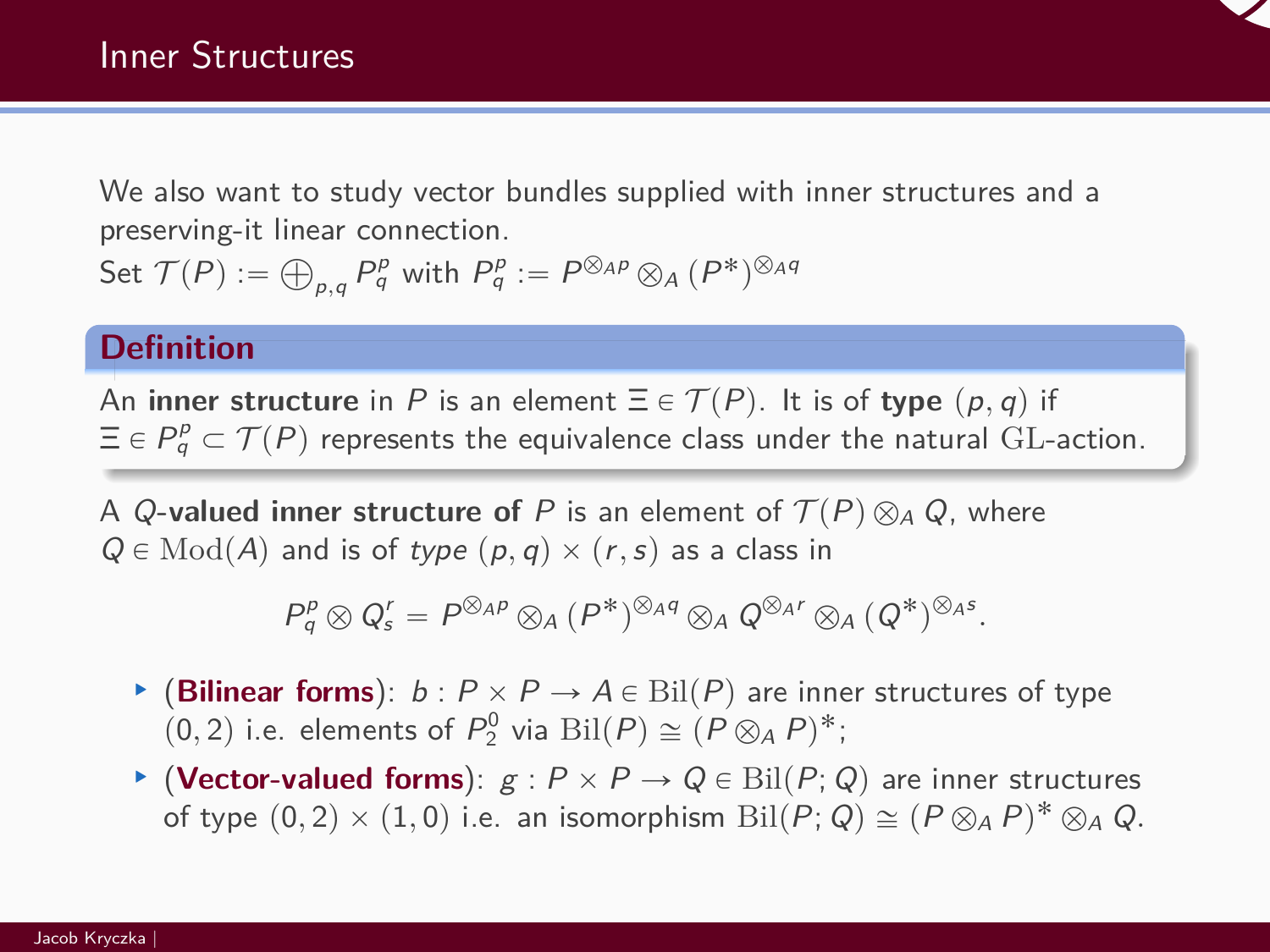

We also want to study vector bundles supplied with inner structures and a preserving-it linear connection. Set  $\mathcal{T}(P) := \bigoplus_{\rho,q} P^p_q$  with  $P^p_q := P^{\otimes_A p} \otimes_A (P^*)^{\otimes_A q}$ 

#### **Definition**

An **inner structure** in P is an element  $\Xi \in \mathcal{T}(P)$ . It is of **type**  $(p, q)$  if  $\Xi \in P^\rho_q \subset \mathcal{T}(P)$  represents the equivalence class under the natural  $\operatorname{GL}\nolimits$ -action.

A Q-valued inner structure of P is an element of  $\mathcal{T}(P) \otimes_A Q$ , where  $Q \in Mod(A)$  and is of type  $(p,q) \times (r,s)$  as a class in

$$
P_q^p \otimes Q_s^r = P^{\otimes_{AP}} \otimes_A (P^*)^{\otimes_{A} q} \otimes_A Q^{\otimes_{A} r} \otimes_A (Q^*)^{\otimes_{A} s}.
$$

- ▶ (Bilinear forms):  $b$ :  $P \times P \rightarrow A \in \text{Bil}(P)$  are inner structures of type  $(0, 2)$  i.e. elements of  $P_2^0$  via  $\text{Bil}(P) \cong (P \otimes_A P)^*$ ;
- **▶ (Vector-valued forms)**:  $g$  :  $P \times P \rightarrow Q \in \text{Bil}(P; Q)$  are inner structures of type  $(0, 2) \times (1, 0)$  i.e. an isomorphism  $\text{Bil}(P; Q) \cong (P \otimes_A P)^* \otimes_A Q$ .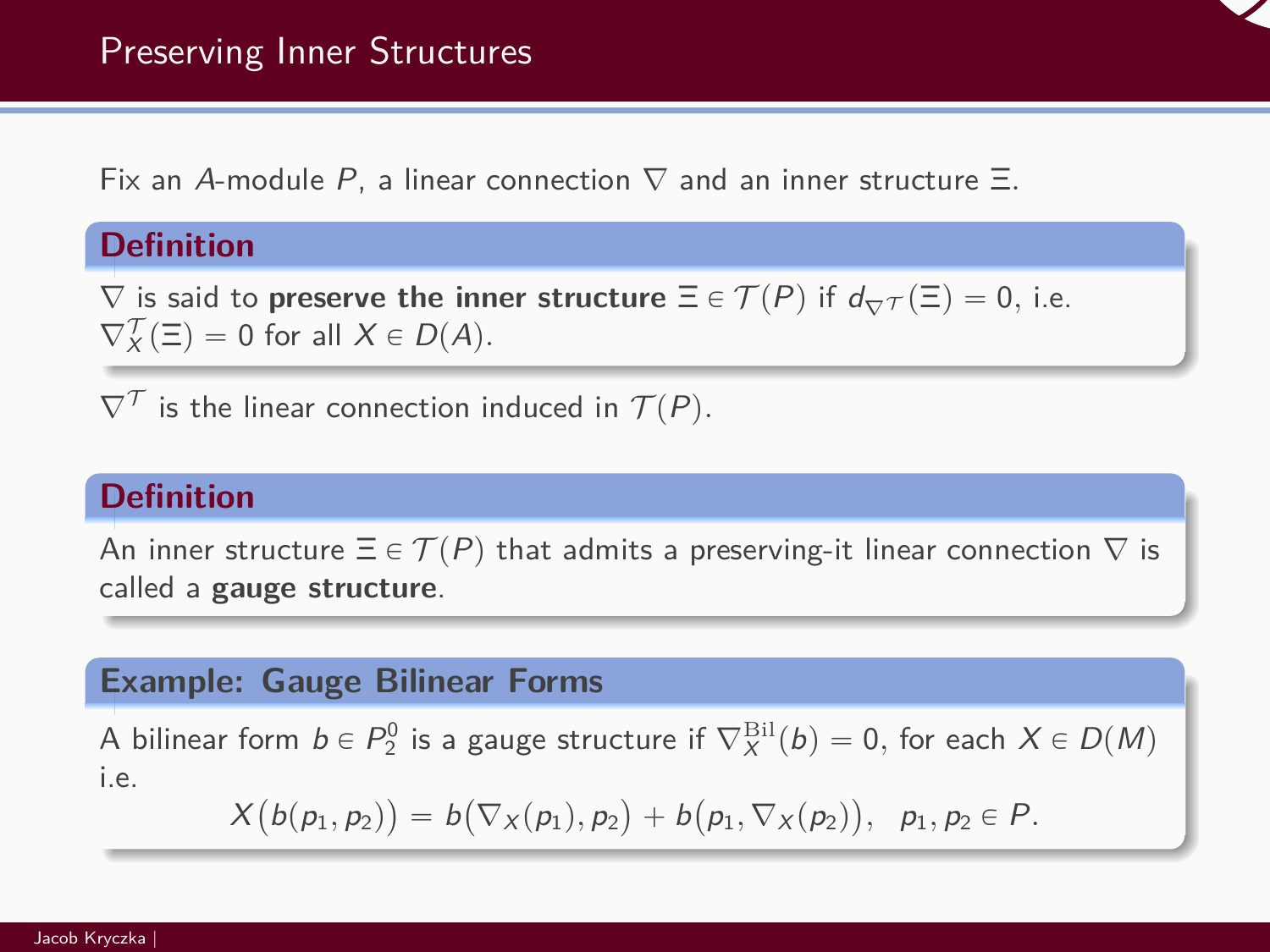Fix an A-module P, a linear connection ∇ and an inner structure Ξ*.*

# **Definition**

 $\nabla$  is said to **preserve the inner structure**  $\Xi \in \mathcal{T}(P)$  if  $d_{\nabla} \tau(\Xi) = 0$ , i.e.  $\nabla_X^{\mathcal{T}}(\Xi) = 0$  for all  $X \in D(A)$ .

 $\nabla^{\mathcal{T}}$  is the linear connection induced in  $\mathcal{T}(P)$ .

# **Definition**

An inner structure  $\Xi \in \mathcal{T}(P)$  that admits a preserving-it linear connection  $\nabla$  is called a **gauge structure**.

#### **Example: Gauge Bilinear Forms**

A bilinear form  $b \in P_2^0$  is a gauge structure if  $\nabla^{\rm Bil}_X(b) = 0,$  for each  $X \in D(M)$ i.e.

$$
X(b(p_1, p_2)) = b(\nabla_X(p_1), p_2) + b(p_1, \nabla_X(p_2)), p_1, p_2 \in P.
$$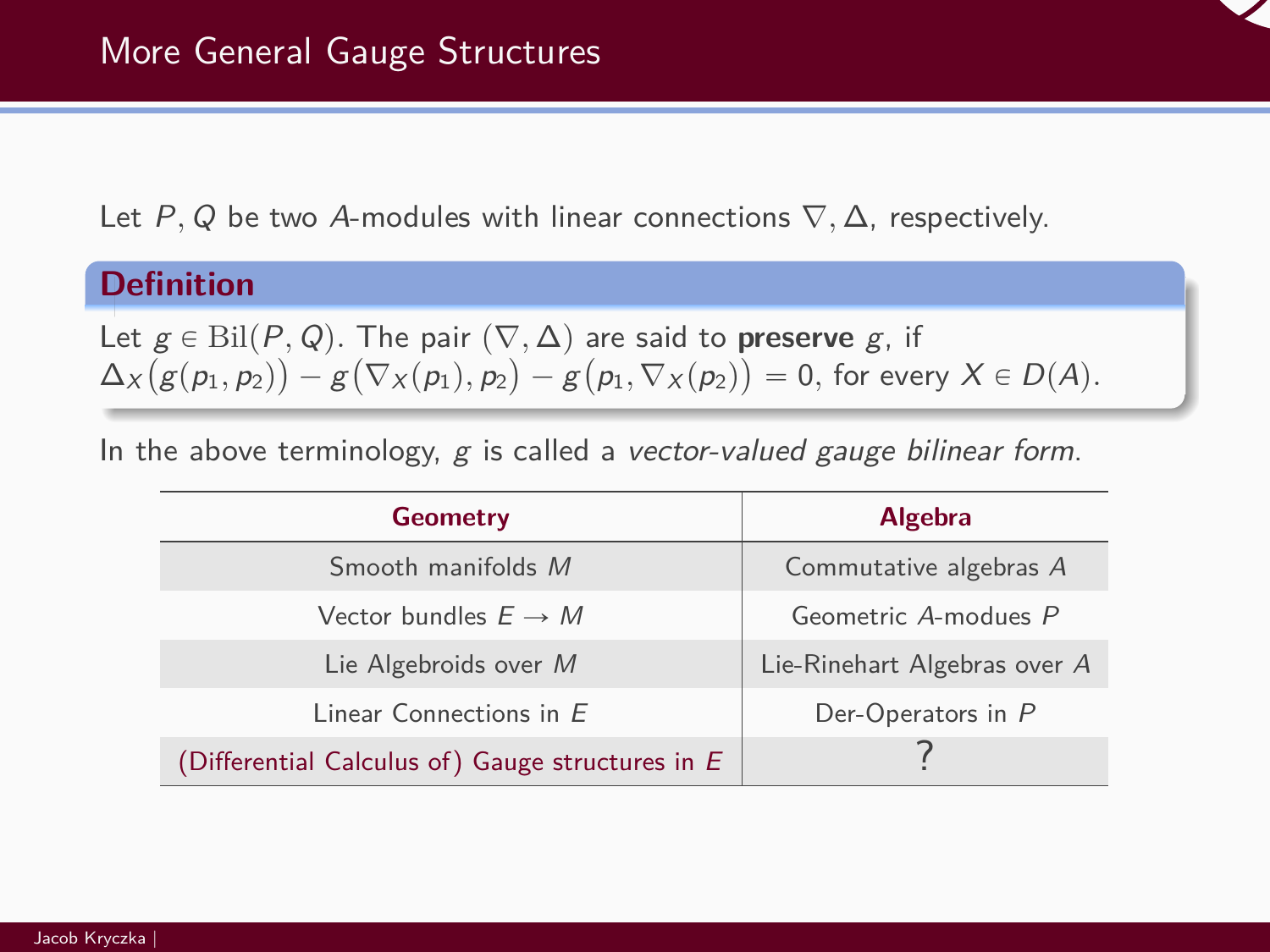Let P, Q be two A-modules with linear connections  $\nabla$ ,  $\Delta$ , respectively.

# **Definition**

Let  $g \in \text{Bil}(P,Q)$ . The pair  $(\nabla, \Delta)$  are said to **preserve** g, if  $\Delta_X\bigl(g(p_1,p_2)\bigr)-g\bigl(\nabla_X(p_1),p_2\bigr)-g\bigl(p_1,\nabla_X(p_2)\bigr)=0,$  for every  $X\in D(A).$ 

In the above terminology,  $g$  is called a vector-valued gauge bilinear form.

| <b>Geometry</b>                                  | <b>Algebra</b>               |
|--------------------------------------------------|------------------------------|
| Smooth manifolds M                               | Commutative algebras A       |
| Vector bundles $E \rightarrow M$                 | Geometric A-modues P         |
| Lie Algebroids over M                            | Lie-Rinehart Algebras over A |
| Linear Connections in E                          | Der-Operators in P           |
| (Differential Calculus of) Gauge structures in E |                              |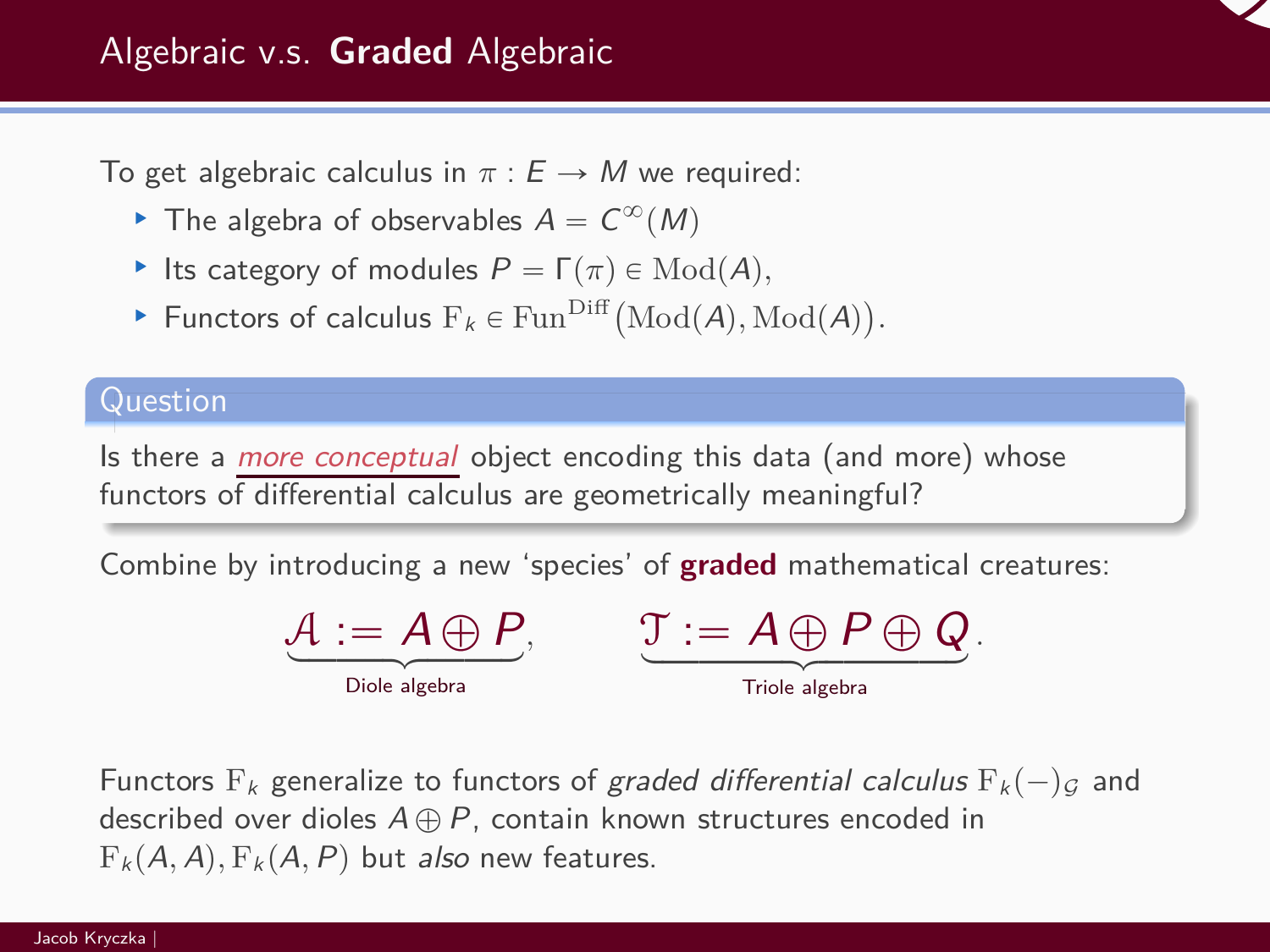

To get algebraic calculus in  $\pi : E \to M$  we required:

- The algebra of observables  $A = C^{\infty}(M)$
- **E** Its category of modules  $P = \Gamma(\pi) \in Mod(A)$ ,
- Exercise respectively of modules  $F_k \in \text{Fun}^{\text{Diff}}(\text{Mod}(A), \text{Mod}(A))$  $\ddot{\phantom{a}}$ *.*

### Question

Is there a *more conceptual* object encoding this data (and more) whose functors of differential calculus are geometrically meaningful?

Combine by introducing a new 'species' of **graded** mathematical creatures:

| Diole algebra |  |  |  |
|---------------|--|--|--|

 $\mathfrak{I} := A \oplus P \oplus Q.$ Triole algebra

Functors  $F_k$  generalize to functors of graded differential calculus  $F_k(-)g$  and described over dioles  $A \oplus P$ , contain known structures encoded in  $F_k(A, A), F_k(A, P)$  but also new features.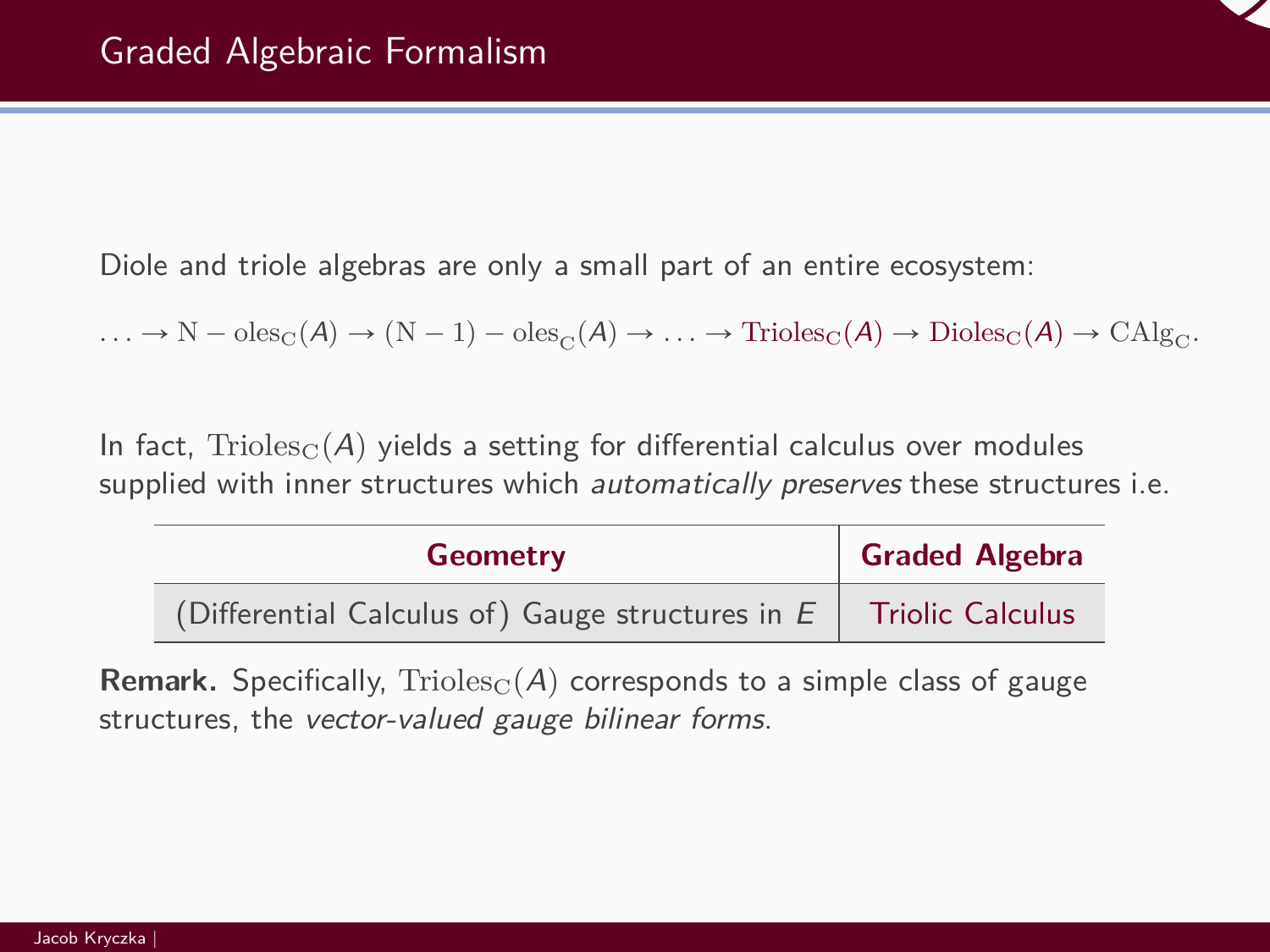

Diole and triole algebras are only a small part of an entire ecosystem:

 $\ldots \to N - \text{oles}_{\text{C}}(A) \to (N - 1) - \text{oles}_{\text{C}}(A) \to \ldots \to \text{Trioles}_{\text{C}}(A) \to \text{Dioles}_{\text{C}}(A) \to \text{CAlg}_{\text{C}}.$ 

In fact,  $\text{Trioles}_{C}(A)$  yields a setting for differential calculus over modules supplied with inner structures which *automatically preserves* these structures i.e.

| <b>Geometry</b>                                    | <b>Graded Algebra</b>   |
|----------------------------------------------------|-------------------------|
| (Differential Calculus of) Gauge structures in $E$ | <b>Triolic Calculus</b> |

**Remark.** Specifically,  $Trioles<sub>C</sub>(A)$  corresponds to a simple class of gauge structures, the vector-valued gauge bilinear forms.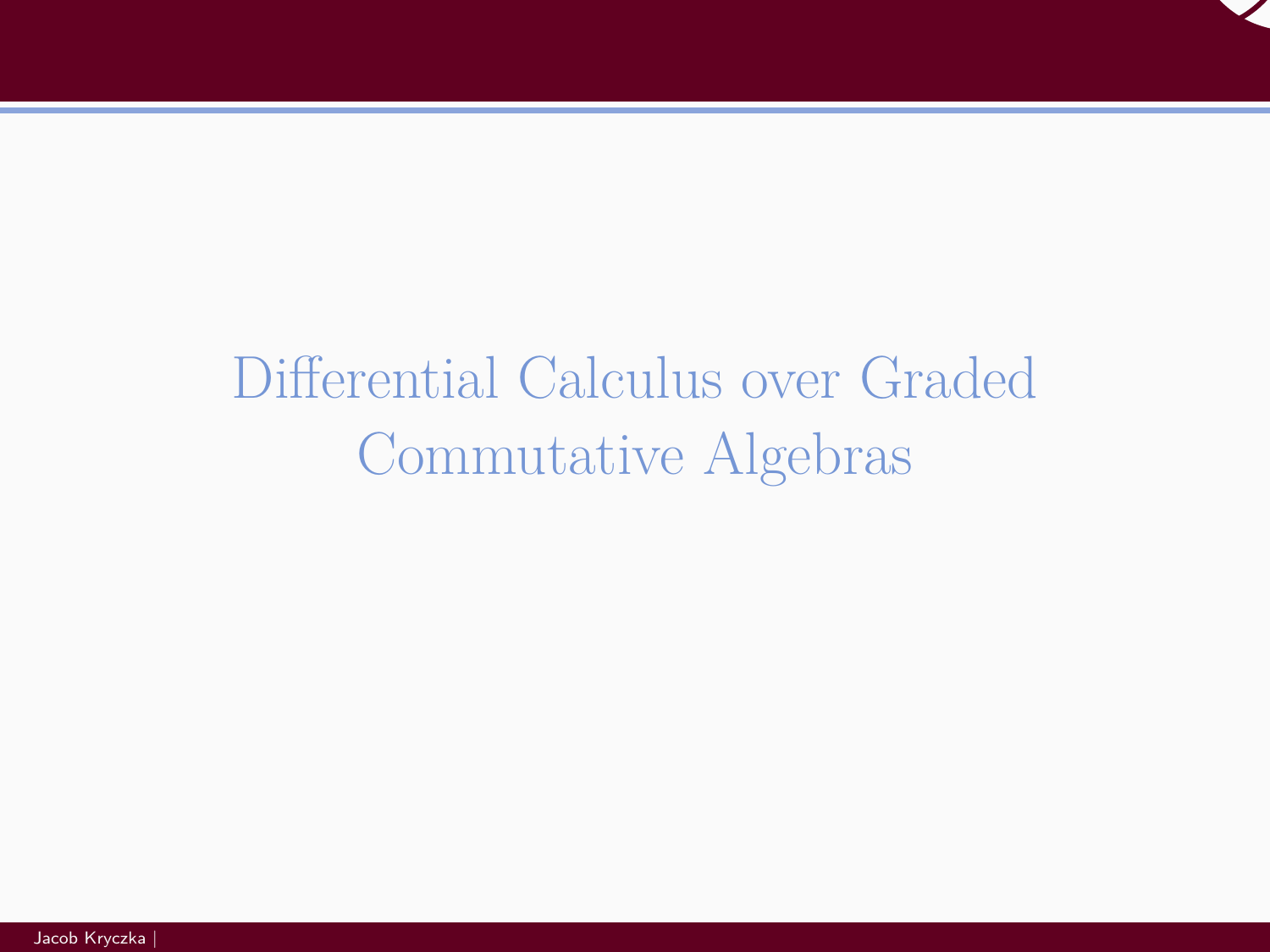

# <span id="page-12-0"></span>[Differential Calculus over Graded](#page-12-0) [Commutative Algebras](#page-12-0)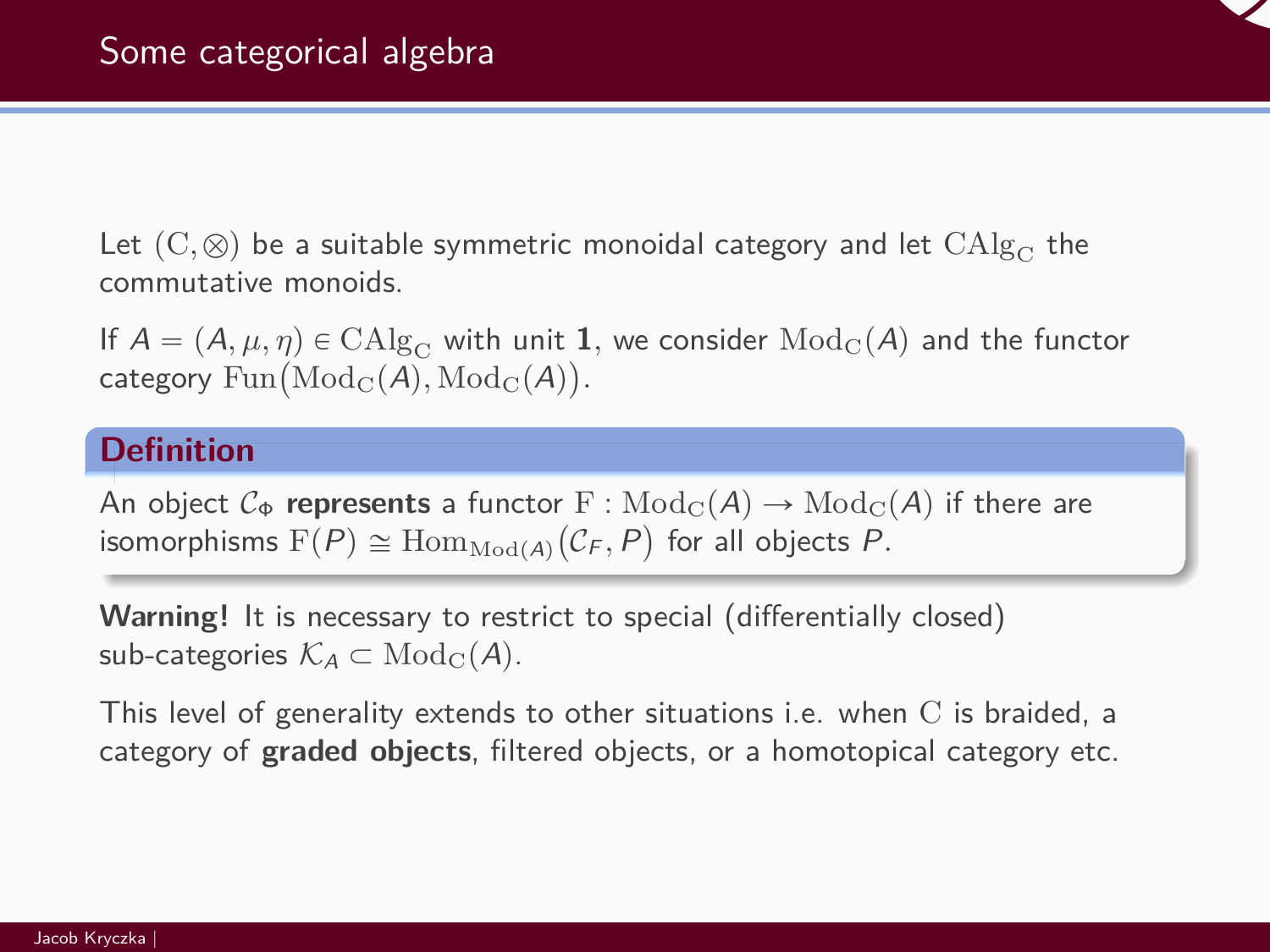Let  $(C, \otimes)$  be a suitable symmetric monoidal category and let  $CAlg_C$  the commutative monoids.

If  $A = (A, \mu, \eta) \in \mathrm{CAlg}_{\mathrm{C}}$  with unit  $\bm{1}$ , we consider  $\mathrm{Mod}_{\mathrm{C}}(A)$  and the functor It  $A = (A, \mu, \eta) \in \text{CAlg}_C$  with unit **1**<br>category  $\text{Fun}(\text{Mod}_C(A), \text{Mod}_C(A)).$ 

# **Definition**

An object  $\mathcal{C}_{\Phi}$  **represents** a functor  $F : \text{Mod}_{\mathcal{C}}(A) \rightarrow \text{Mod}_{\mathcal{C}}(A)$  if there are isomorphisms  $\operatorname{F}(P)\cong \operatorname{Hom}_{\operatorname{Mod}(A)}(\mathcal{C}_F,P)$  for all objects  $P.$ 

**Warning!** It is necessary to restrict to special (differentially closed) sub-categories  $\mathcal{K}_A \subset \text{Mod}_{\mathcal{C}}(A)$ .

This level of generality extends to other situations i.e. when C is braided, a category of **graded objects**, filtered objects, or a homotopical category etc.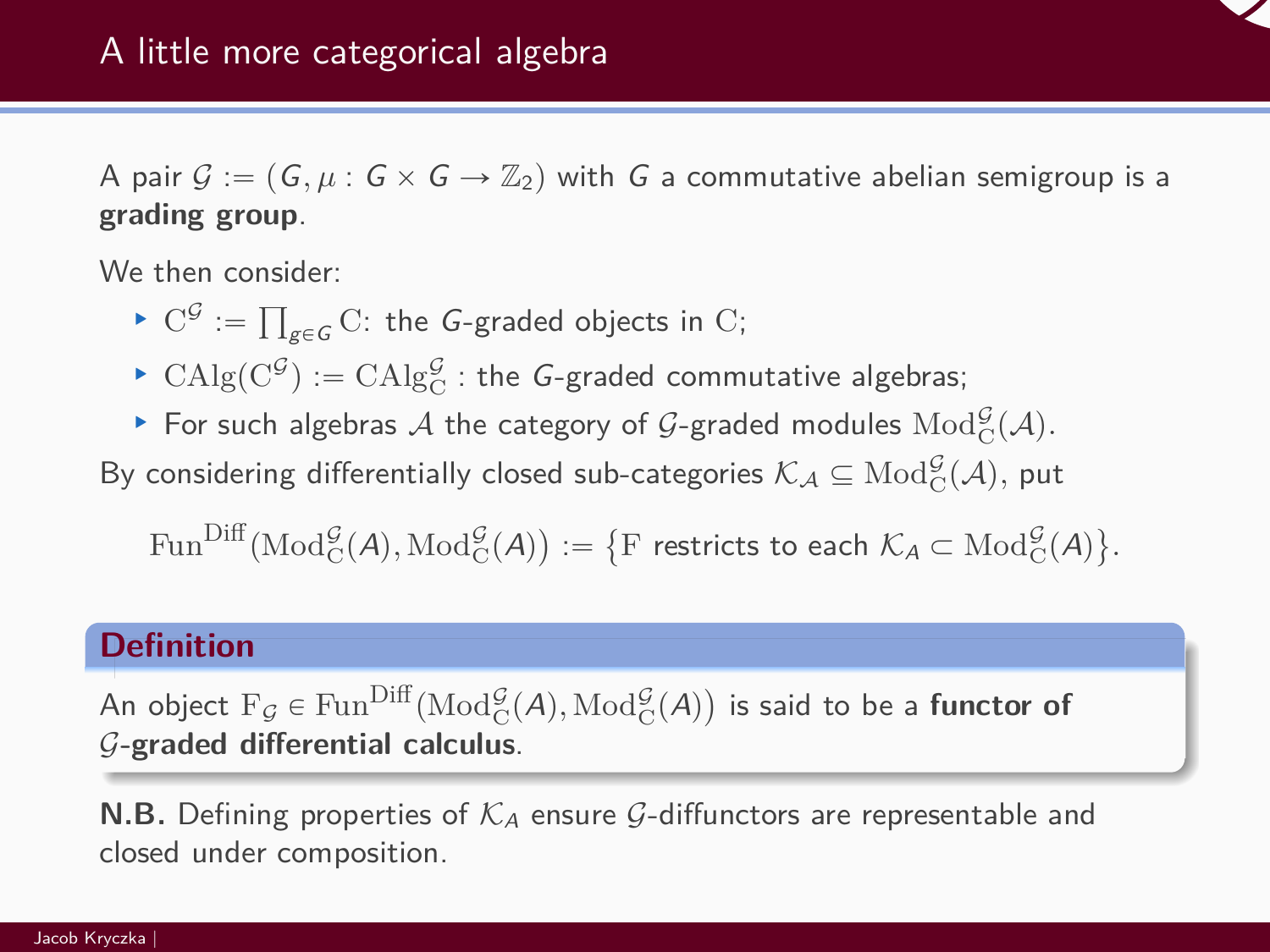

A pair  $G := (G, \mu : G \times G \rightarrow \mathbb{Z}_2)$  with G a commutative abelian semigroup is a **grading group**.

We then consider: ....<br>—

- $\blacktriangleright$  C<sup>G</sup> :=  $_{g\in G}$   $\mathrm C$ : the  $G$ -graded objects in  $\mathrm C;$
- ▶  $\text{CAlg}(\text{C}^{\mathcal{G}}) := \text{CAlg}_{\text{C}}^{\mathcal{G}}$ : the G-graded commutative algebras;
- ▶ For such algebras  $\mathcal A$  the category of  $\mathcal G$ -graded modules  $\mathrm{Mod}^{\mathcal G}_C(\mathcal A).$

By considering differentially closed sub-categories  $\mathcal{K}_\mathcal{A} \subseteq \text{Mod}^\mathcal{G}_C(\mathcal{A}),$  put

 $\text{Fun}^{\text{Diff}}(\text{Mod}^{\mathcal{G}}_{\text{C}}(\mathcal{A}), \text{Mod}^{\mathcal{G}}_{\text{C}}(\mathcal{A}))$ ˘  $:=$  $\{F \text{ restricts to each } \mathcal{K}_A \subset \text{Mod}^{\mathcal{G}}_C(A) \}$ ( *.*

# **Definition**

An object  $F_{\mathcal{G}} \in \text{Fun}^{\text{Diff}}(\text{Mod}^{\mathcal{G}}_C(A), \text{Mod}^{\mathcal{G}}_C(A)$ ˘ is said to be a **functor of** G**-graded differential calculus**.

**N.B.** Defining properties of  $K_A$  ensure G-diffunctors are representable and closed under composition.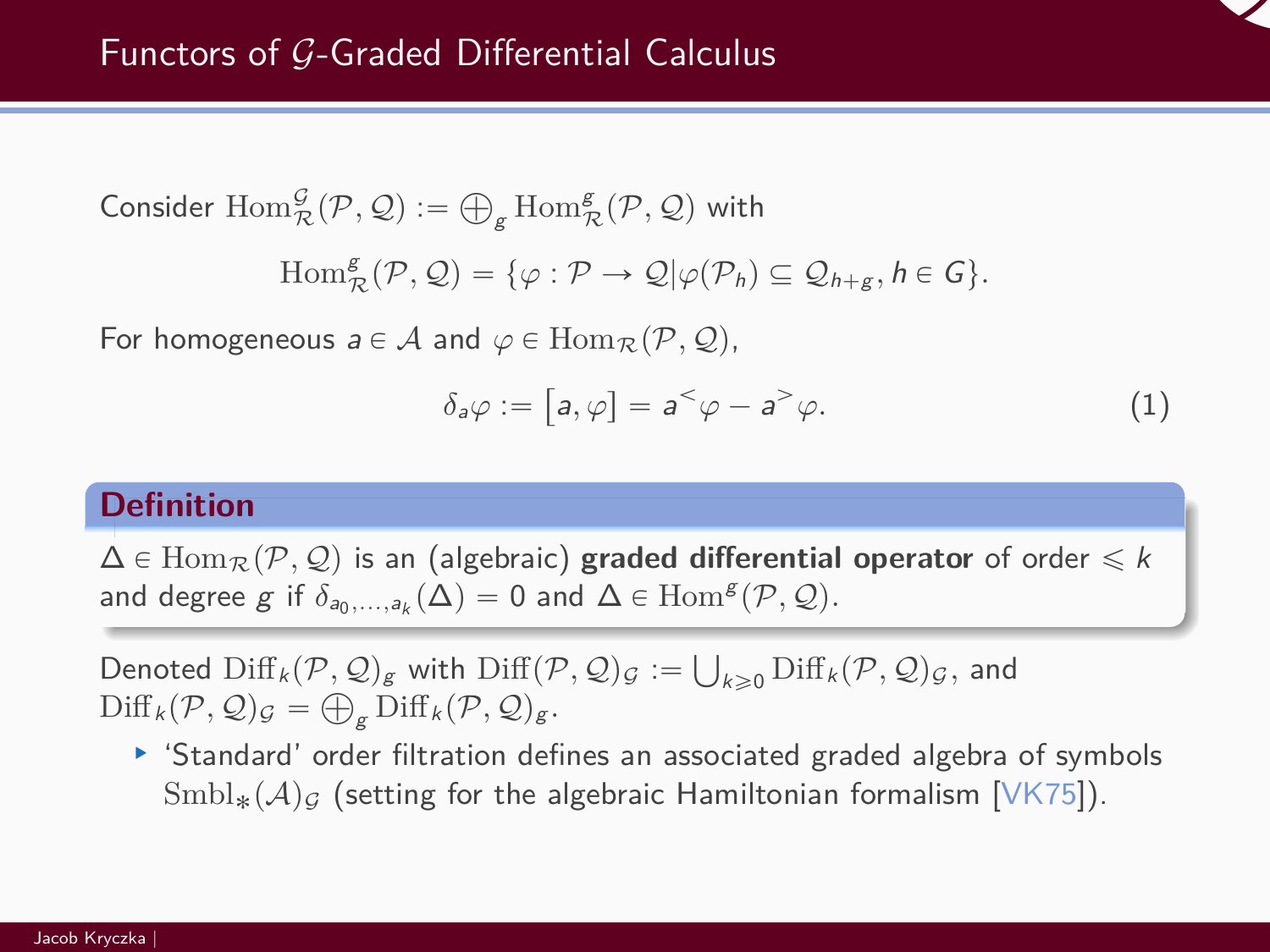Consider  $\text{Hom}_{\mathcal{R}}^{\mathcal{G}}(\mathcal{P}, \mathcal{Q}) :=$  $\bigoplus_{\mathsf{g}}\operatorname{Hom}^{\mathsf{g}}_{\mathcal{R}}(\mathcal{P},\mathcal{Q})$  with

$$
\mathrm{Hom}^{\mathsf{g}}_{\mathcal{R}}(\mathcal{P},\mathcal{Q})=\{\varphi:\mathcal{P}\rightarrow\mathcal{Q}|\varphi(\mathcal{P}_h)\subseteq\mathcal{Q}_{h+{\sf g}},h\in\mathsf{G}\}.
$$

For homogeneous  $a \in \mathcal{A}$  and  $\varphi \in \text{Hom}_{\mathcal{R}}(\mathcal{P}, \mathcal{Q})$ ,

$$
\delta_a \varphi := [a, \varphi] = a^{\lt} \varphi - a^{\gt} \varphi. \tag{1}
$$

#### **Definition**

 $\Delta$  ∈ Hom<sub>*R*</sub> ( $\mathcal{P}, \mathcal{Q}$ ) is an (algebraic) **graded differential operator** of order  $\leq k$ and degree  $g$  if  $\delta_{a_0,...,a_k}(\Delta) = 0$  and  $\Delta \in \text{Hom}^g(\mathcal{P}, \mathcal{Q})$ .

Denoted  $\text{Diff}_k(P,Q)_{g}$  with  $\text{Diff}(P,Q)_{G} :=$ Ť  $(\mathcal{P}, \mathcal{Q})_{g}$  with  $\mathrm{Diff}(\mathcal{P}, \mathcal{Q})_{\mathcal{G}} := \bigcup_{k \geqslant 0} \mathrm{Diff}_{k}(\mathcal{P}, \mathcal{Q})_{\mathcal{G}},$  and  $\text{Diff}_k(P, \mathcal{Q})_{\mathcal{G}} = \bigoplus_{g} \text{Diff}_k(P, \mathcal{Q})_{g}.$ 

§ 'Standard' order filtration defines an associated graded algebra of symbols  $\text{Smbl}_*(\mathcal{A})_G$  (setting for the algebraic Hamiltonian formalism [\[VK75\]](#page-43-1)).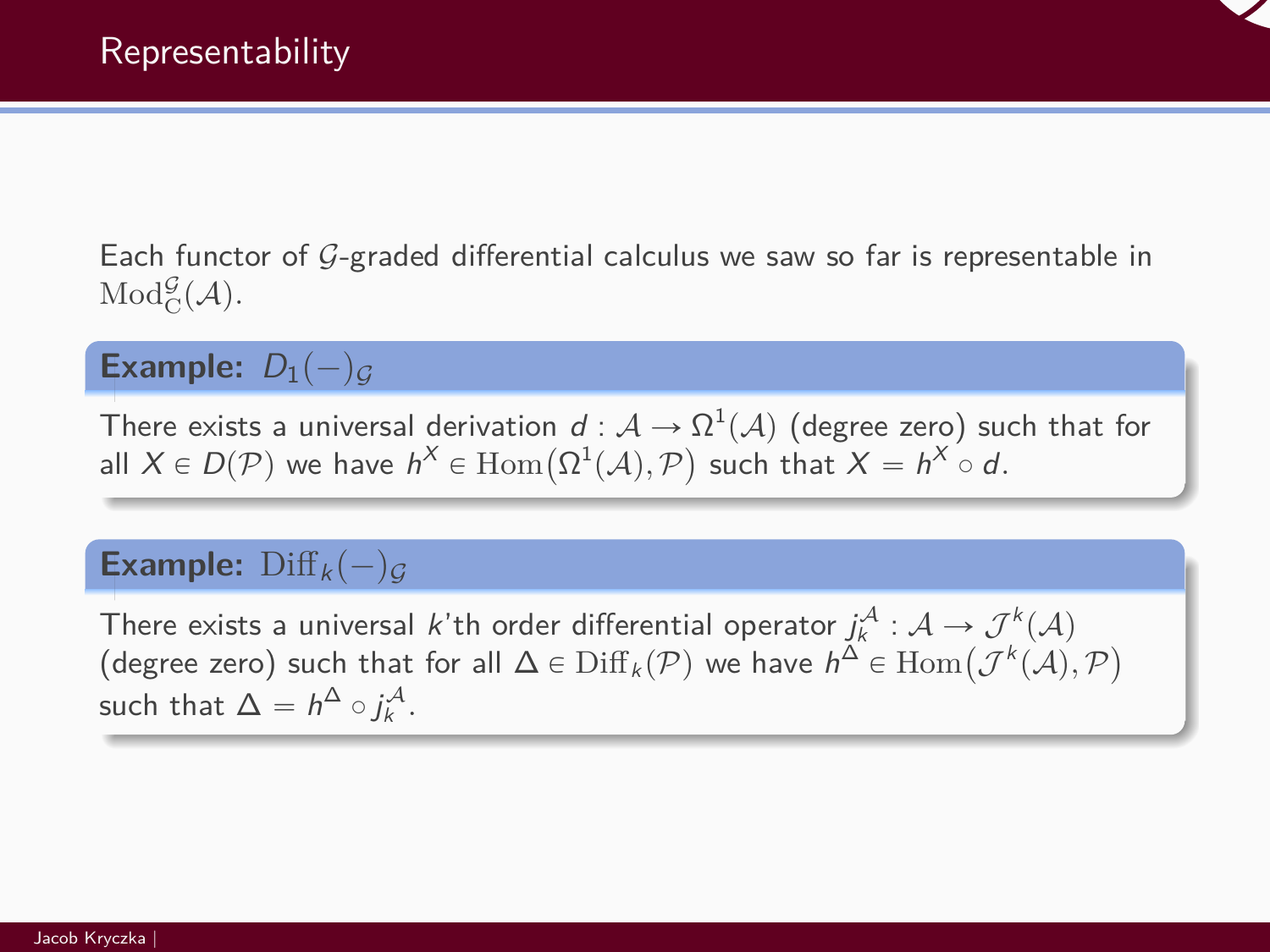

Each functor of  $G$ -graded differential calculus we saw so far is representable in  $\operatorname{Mod}^{\mathcal{G}}_{\mathcal{C}}(\mathcal{A}).$ 

# **Example:**  $D_1(-)_G$

There exists a universal derivation  $d: \mathcal{A} \rightarrow \Omega^1(\mathcal{A})$  (degree zero) such that for There exists a universal derivation  $d : A \to \Omega^*(A)$  (degree zero) surfall  $X \in D(\mathcal{P})$  we have  $h^X \in \text{Hom}(\Omega^1(A), \mathcal{P})$  such that  $X = h^X \circ d$ .

# **Example:**  $\text{Diff}_k(-)$ <sub>G</sub>

There exists a universal *k*'th order differential operator  $j_k^{\mathcal{A}}: \mathcal{A} \rightarrow \mathcal{J}^k(\mathcal{A})$ There exists a universal *k* th order differential operator  $j_k^{\infty}$  :  $\mathcal{A} \to \mathcal{J}^{\infty}(\mathcal{A})$ <br>(degree zero) such that for all Δ ∈ Diff<sub>k</sub>(*P*) we have  $h^{\Delta}$  ∈ Hom $(\mathcal{J}^k(\mathcal{A}), \mathcal{P})$ such that  $\Delta = h^{\Delta} \circ j^{\mathcal{A}}_k$ .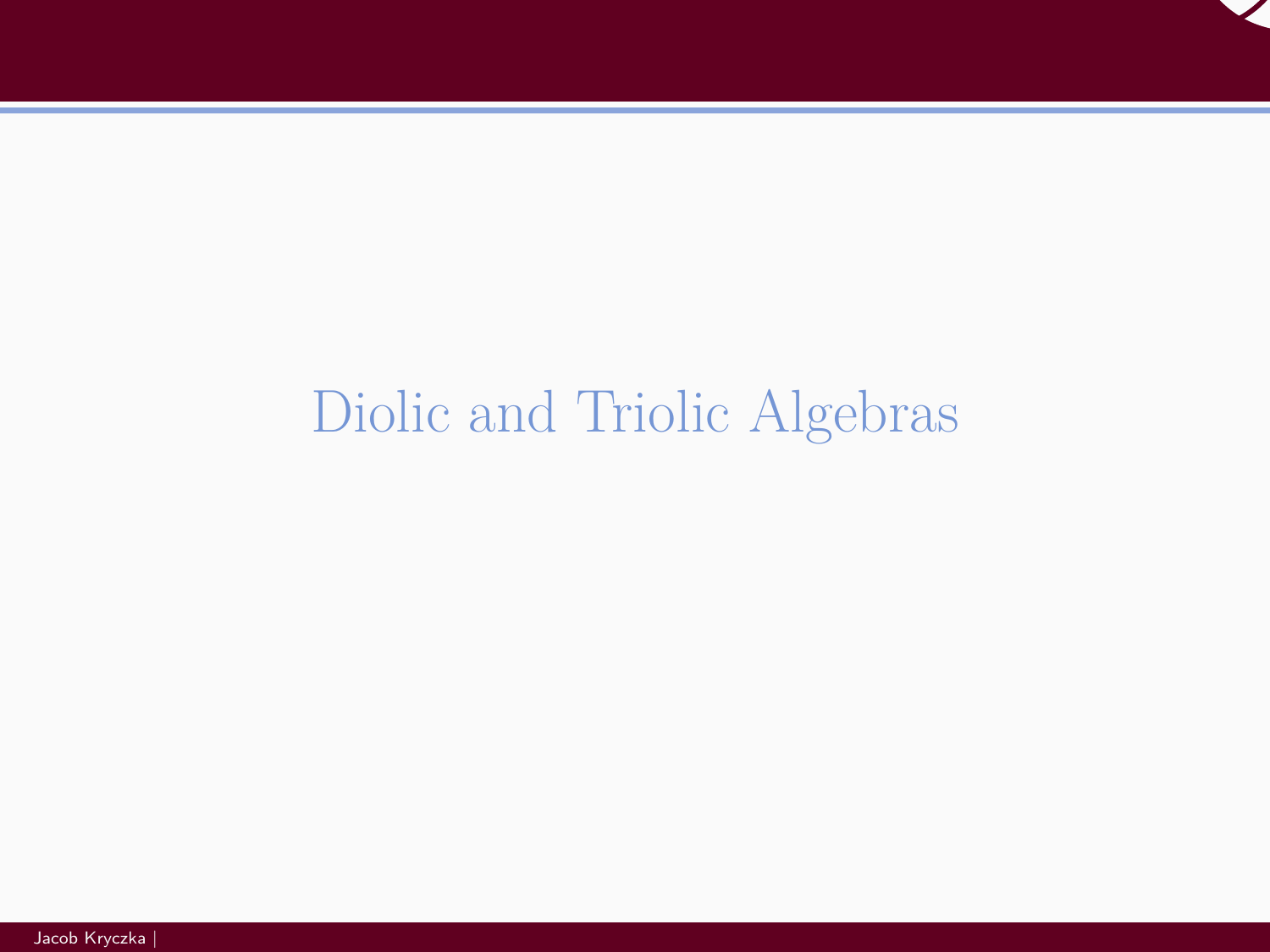

# <span id="page-17-0"></span>[Diolic and Triolic Algebras](#page-17-0)

Jacob Kryczka |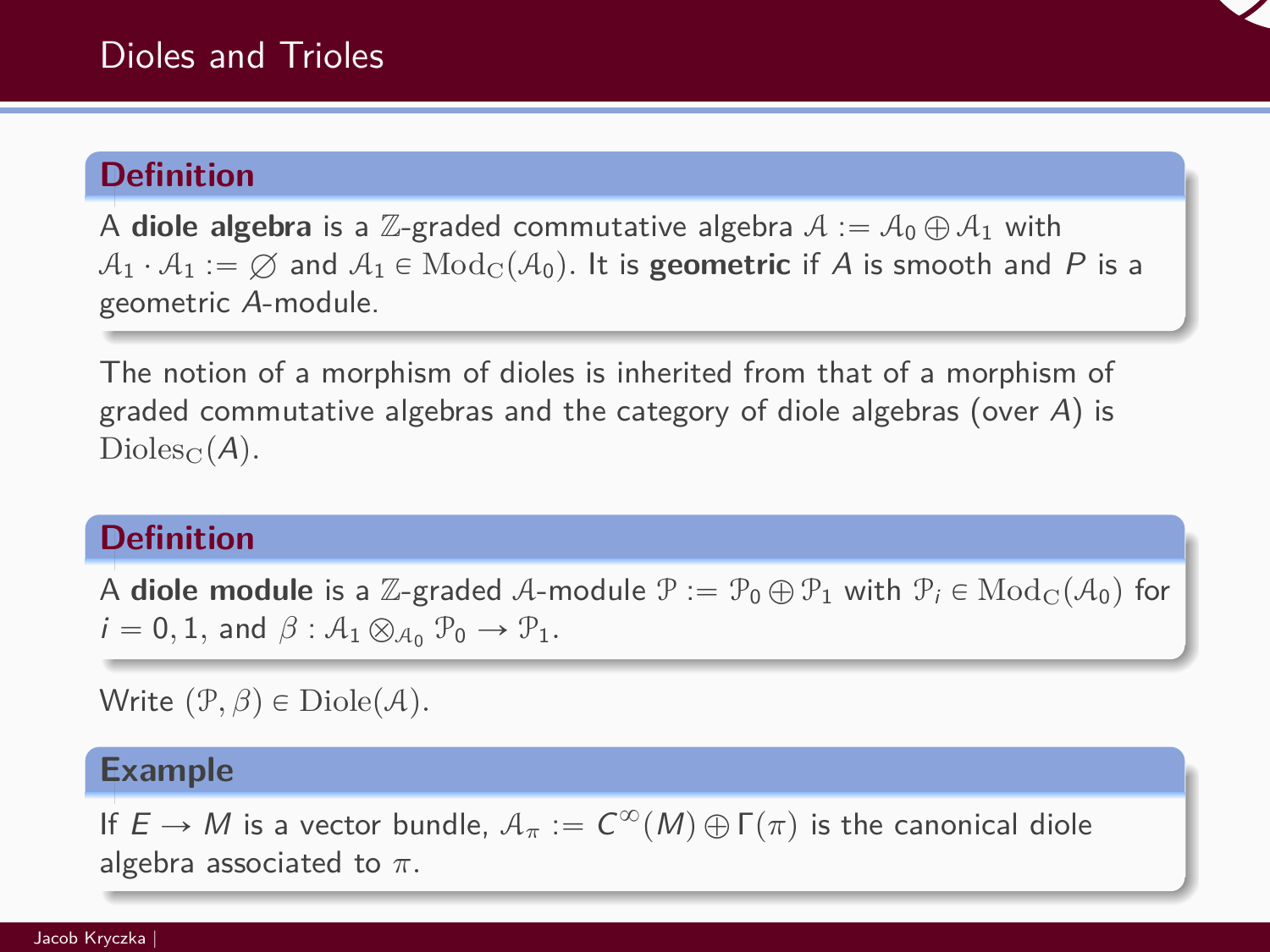# **Definition**

A **diole algebra** is a Z-graded commutative algebra  $A := A_0 \oplus A_1$  with  $A_1 \cdot A_1 := \emptyset$  and  $A_1 \in \text{Mod}_{\mathbb{C}}(\mathcal{A}_0)$ . It is **geometric** if A is smooth and P is a geometric A-module.

The notion of a morphism of dioles is inherited from that of a morphism of graded commutative algebras and the category of diole algebras (over A) is  $Dioles_C(A)$ .

# **Definition**

A **diole module** is a Z-graded A-module  $\mathcal{P} := \mathcal{P}_0 \oplus \mathcal{P}_1$  with  $\mathcal{P}_i \in \text{Mod}_{\mathcal{C}}(\mathcal{A}_0)$  for  $i = 0, 1$ , and  $\beta : A_1 \otimes_{A_0} P_0 \rightarrow P_1$ .

Write  $(\mathcal{P}, \beta) \in \mathrm{Diole}(\mathcal{A})$ .

#### **Example**

If  $E \to M$  is a vector bundle,  $\mathcal{A}_{\pi} := C^{\infty}(M) \oplus \Gamma(\pi)$  is the canonical diole algebra associated to *π.*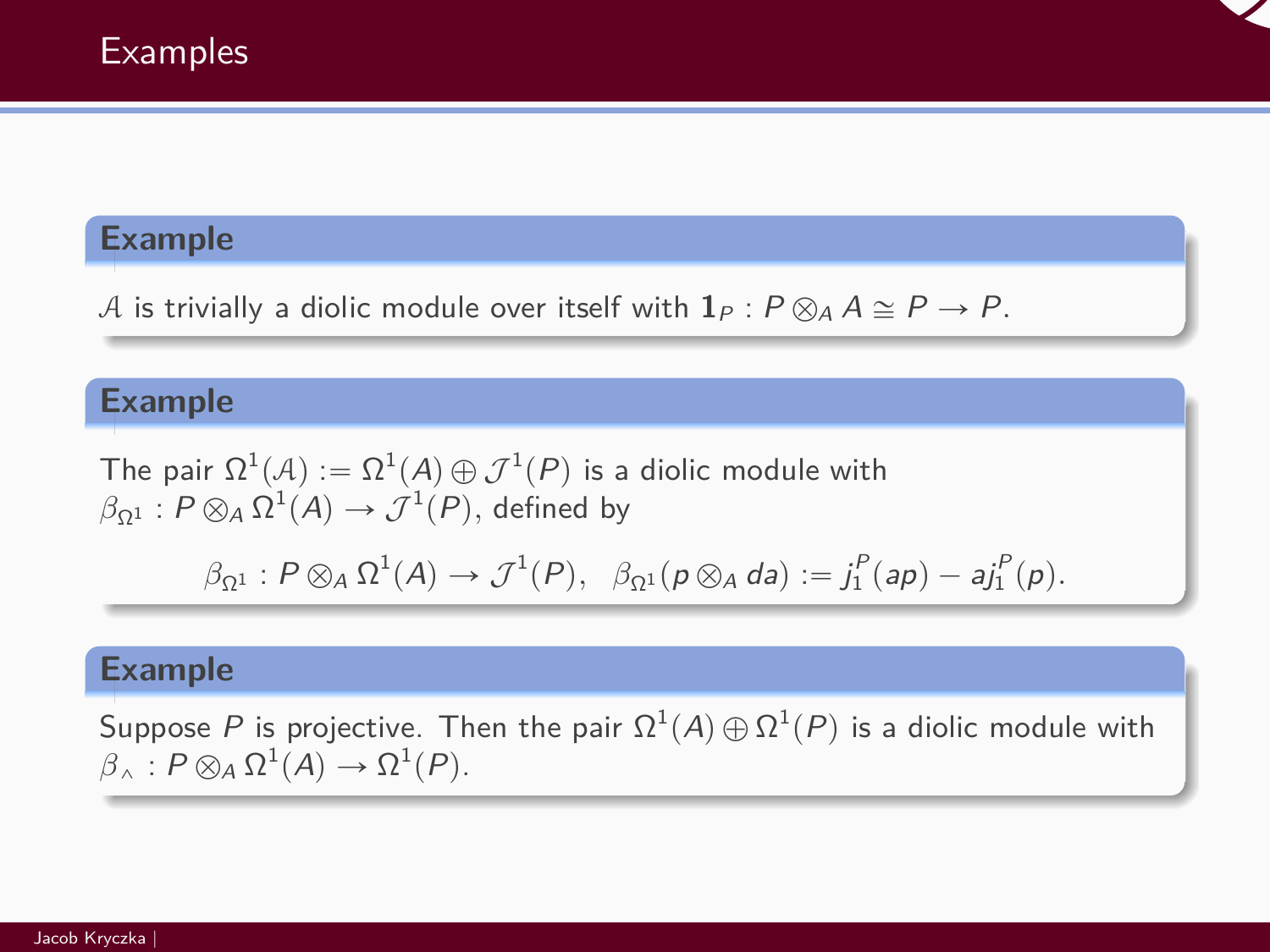

### **Example**

A is trivially a diolic module over itself with  $\mathbf{1}_P$  :  $P \otimes_A A \cong P \rightarrow P$ .

# **Example**

The pair  $\Omega^1(\mathcal{A}):=\Omega^1(\mathcal{A})\oplus\mathcal{J}^1(\mathit{P})$  is a diolic module with  $\beta_{\Omega^1} : P \otimes_A \Omega^1(\mathcal{A}) \rightarrow \mathcal{J}^1(P),$  defined by

$$
\beta_{\Omega^1}: P\otimes_A\Omega^1(A)\to \mathcal{J}^1(P),\ \ \beta_{\Omega^1}(p\otimes_A da):=j_1^P(ap)-aj_1^P(p).
$$

#### **Example**

Suppose  $P$  is projective. Then the pair  $\Omega^1(A)\oplus\Omega^1(P)$  is a diolic module with  $\beta_{\wedge} : P \otimes_A \Omega^1(A) \to \Omega^1(P).$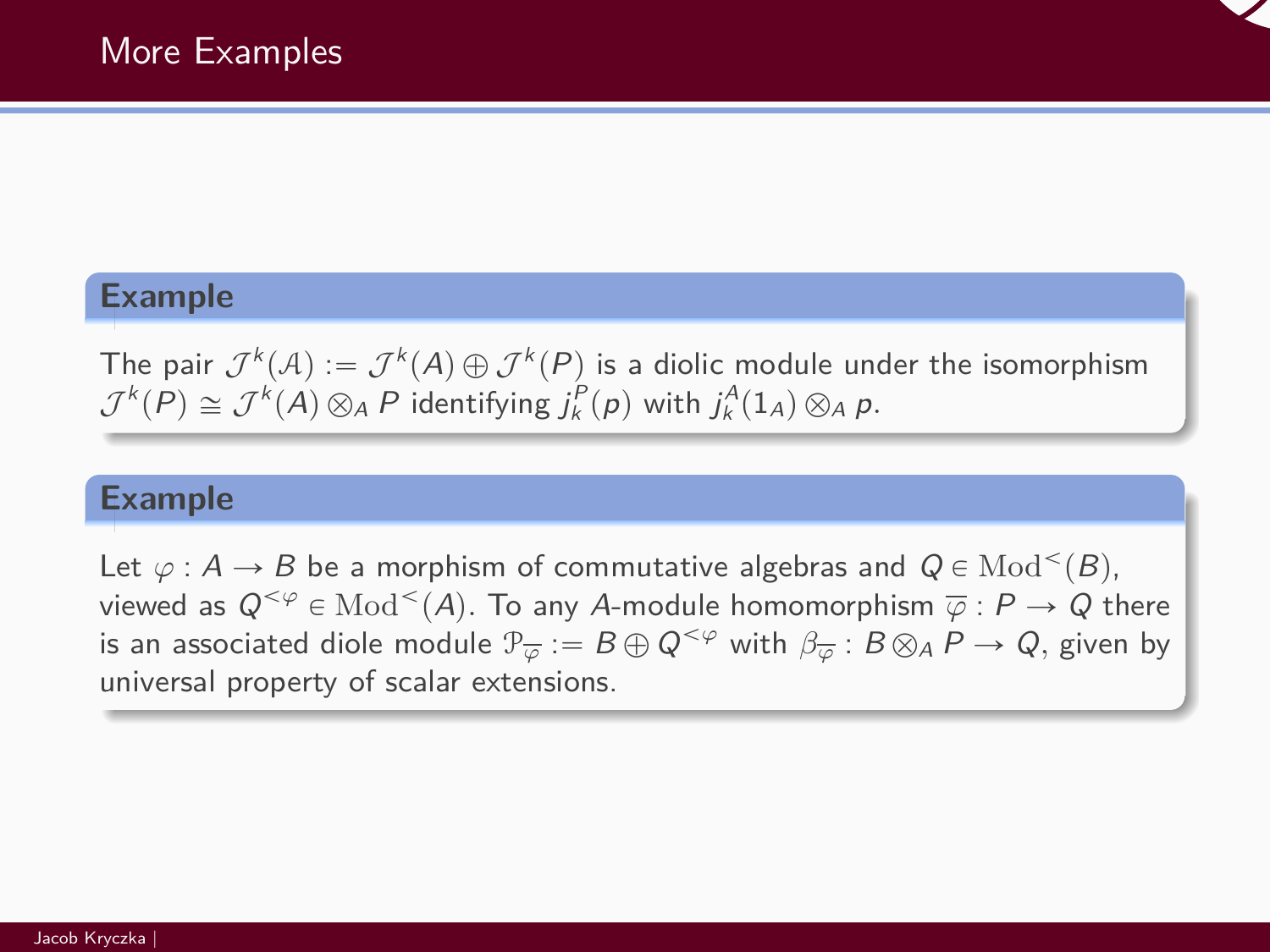

### **Example**

The pair  $\mathcal{J}^k(\mathcal{A}) := \mathcal{J}^k(A) \oplus \mathcal{J}^k(P)$  is a diolic module under the isomorphism  $\mathcal{J}^k(P) \cong \mathcal{J}^k(A) \otimes_A P$  identifying  $j_k^P(p)$  with  $j_k^A(1_A) \otimes_A p$ .

### **Example**

Let  $\varphi : A \to B$  be a morphism of commutative algebras and  $Q \in \text{Mod}^{<}(B)$ , viewed as  $\mathsf{Q}^{<\varphi}\in\mathrm{Mod}^<(A).$  To any  $A$ -module homomorphism  $\overline{\varphi}:P\to Q$  there is an associated diole module  $\mathcal{P}_{\overline{\varphi}}:=B\oplus Q^{<\varphi}$  with  $\beta_{\overline{\varphi}}:B\otimes_A P\to Q,$  given by universal property of scalar extensions.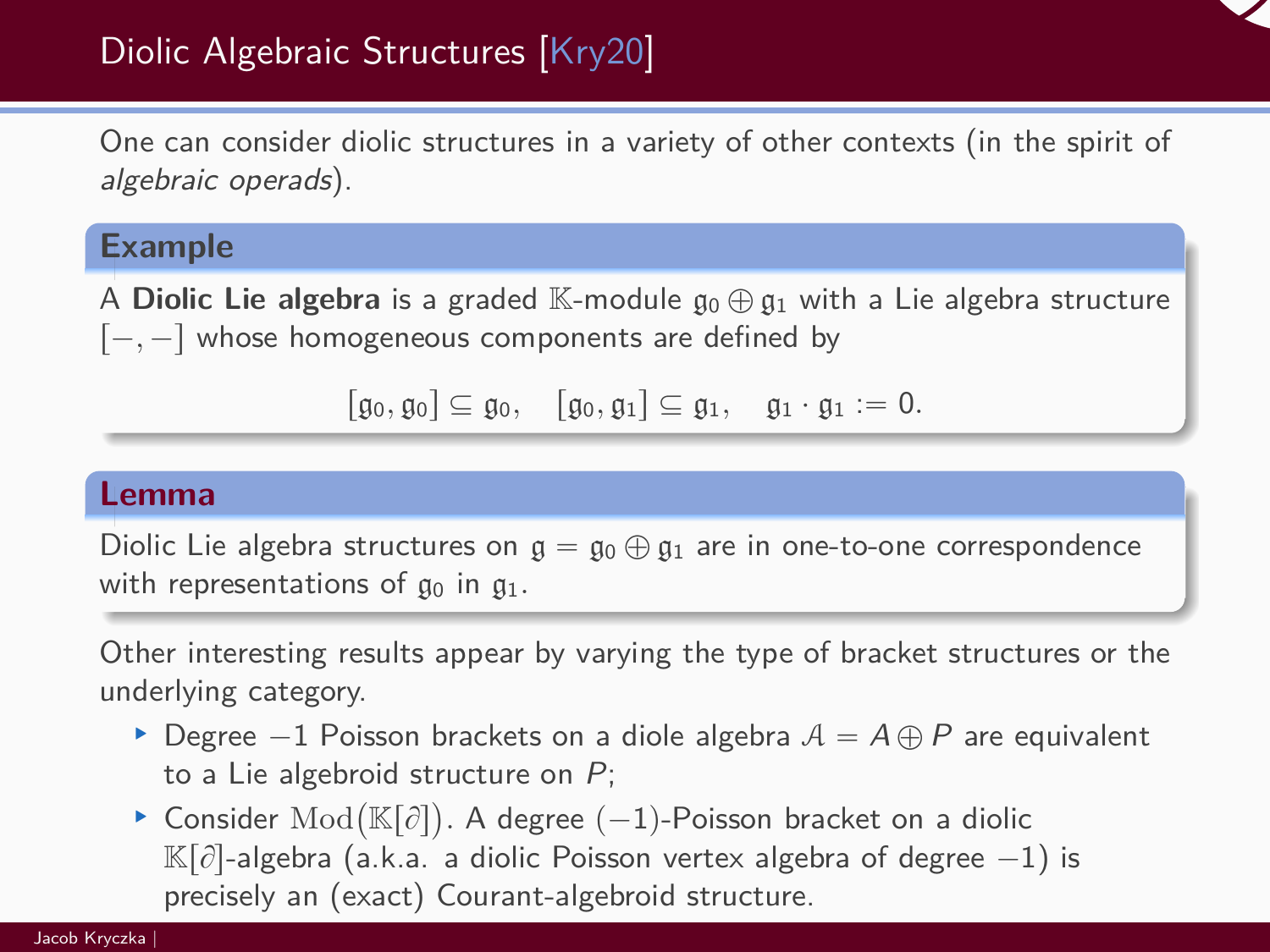

# Diolic Algebraic Structures [\[Kry20\]](#page-42-3)

One can consider diolic structures in a variety of other contexts (in the spirit of algebraic operads).

# **Example**

A **Diolic Lie algebra** is a graded K-module  $\mathfrak{g}_0 \oplus \mathfrak{g}_1$  with a Lie algebra structure  $[-, -]$  whose homogeneous components are defined by

```
[\mathfrak{g}_0, \mathfrak{g}_0] \subseteq \mathfrak{g}_0, \quad [\mathfrak{g}_0, \mathfrak{g}_1] \subseteq \mathfrak{g}_1, \quad \mathfrak{g}_1 \cdot \mathfrak{g}_1 := 0.
```
#### **Lemma**

Diolic Lie algebra structures on  $g = g_0 \oplus g_1$  are in one-to-one correspondence with representations of  $\mathfrak{g}_0$  in  $\mathfrak{g}_1$ .

Other interesting results appear by varying the type of bracket structures or the underlying category.

- ▶ Degree  $-1$  Poisson brackets on a diole algebra  $A = A \oplus P$  are equivalent to a Lie algebroid structure on P;
- $\bullet$  a Lie algebroid structure on  $P$ ;<br>  $\bullet$  Consider Mod( $\mathbb{K}[\partial]$ ). A degree  $(-1)$ -Poisson bracket on a diolic  $\mathbb{K}[\partial]$ -algebra (a.k.a. a diolic Poisson vertex algebra of degree  $-1$ ) is precisely an (exact) Courant-algebroid structure.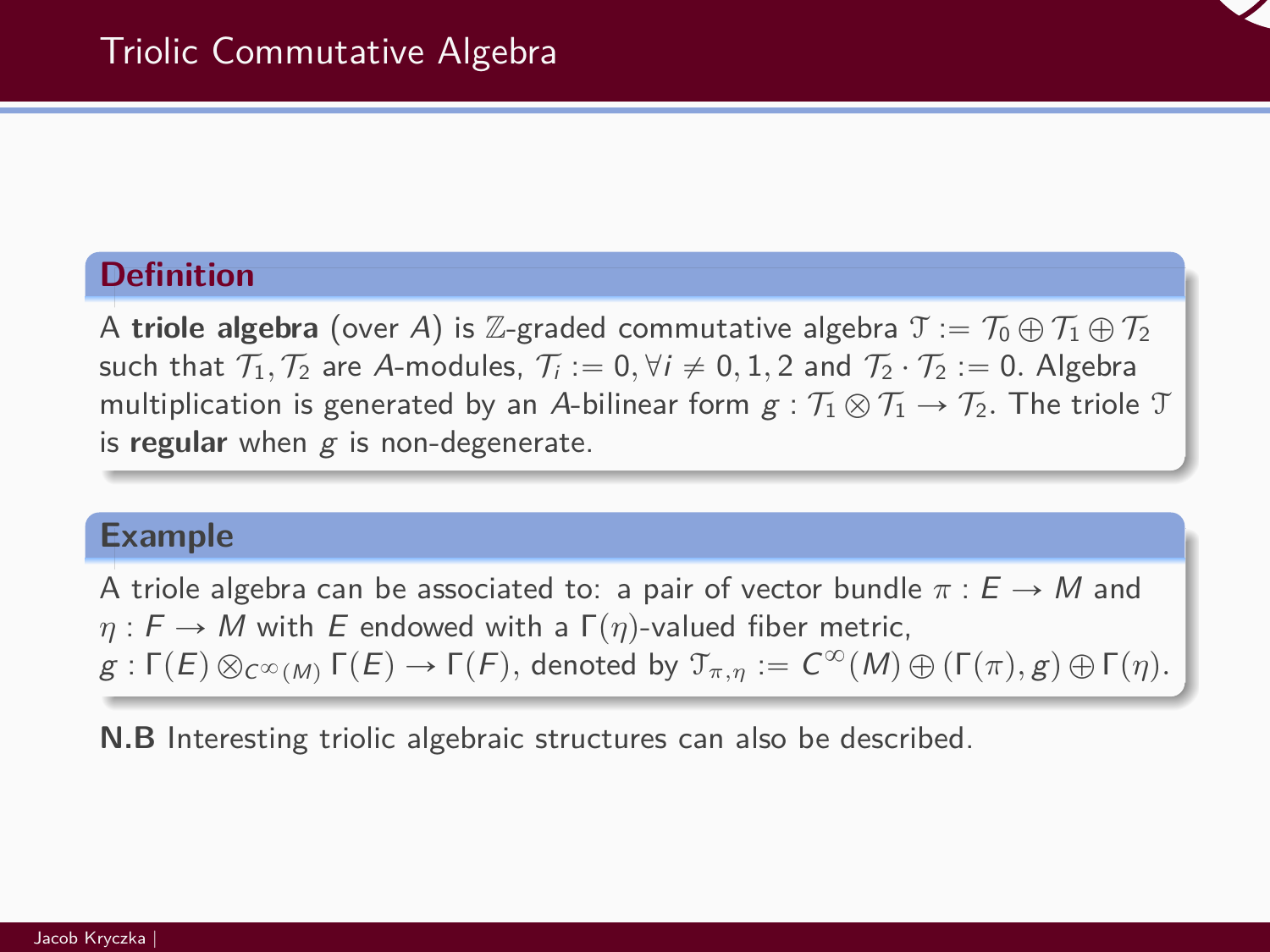# **Definition**

A **triole algebra** (over A) is Z-graded commutative algebra  $\mathcal{T} := \mathcal{T}_0 \oplus \mathcal{T}_1 \oplus \mathcal{T}_2$ such that  $\mathcal{T}_1, \mathcal{T}_2$  are A-modules,  $\mathcal{T}_i := 0, \forall i \neq 0, 1, 2$  and  $\mathcal{T}_2 \cdot \mathcal{T}_2 := 0$ . Algebra multiplication is generated by an A-bilinear form  $g : T_1 \otimes T_1 \rightarrow T_2$ . The triole T is **regular** when g is non-degenerate.

#### **Example**

A triole algebra can be associated to: a pair of vector bundle  $\pi : E \to M$  and  $\eta : F \to M$  with E endowed with a  $\Gamma(\eta)$ -valued fiber metric,  $g: \Gamma(E) \otimes_{C^{\infty}(M)} \Gamma(E) \to \Gamma(F)$ , denoted by  $\mathfrak{T}_{\pi,\eta} := C^{\infty}(M) \oplus (\Gamma(\pi), g) \oplus \Gamma(\eta)$ .

**N.B** Interesting triolic algebraic structures can also be described.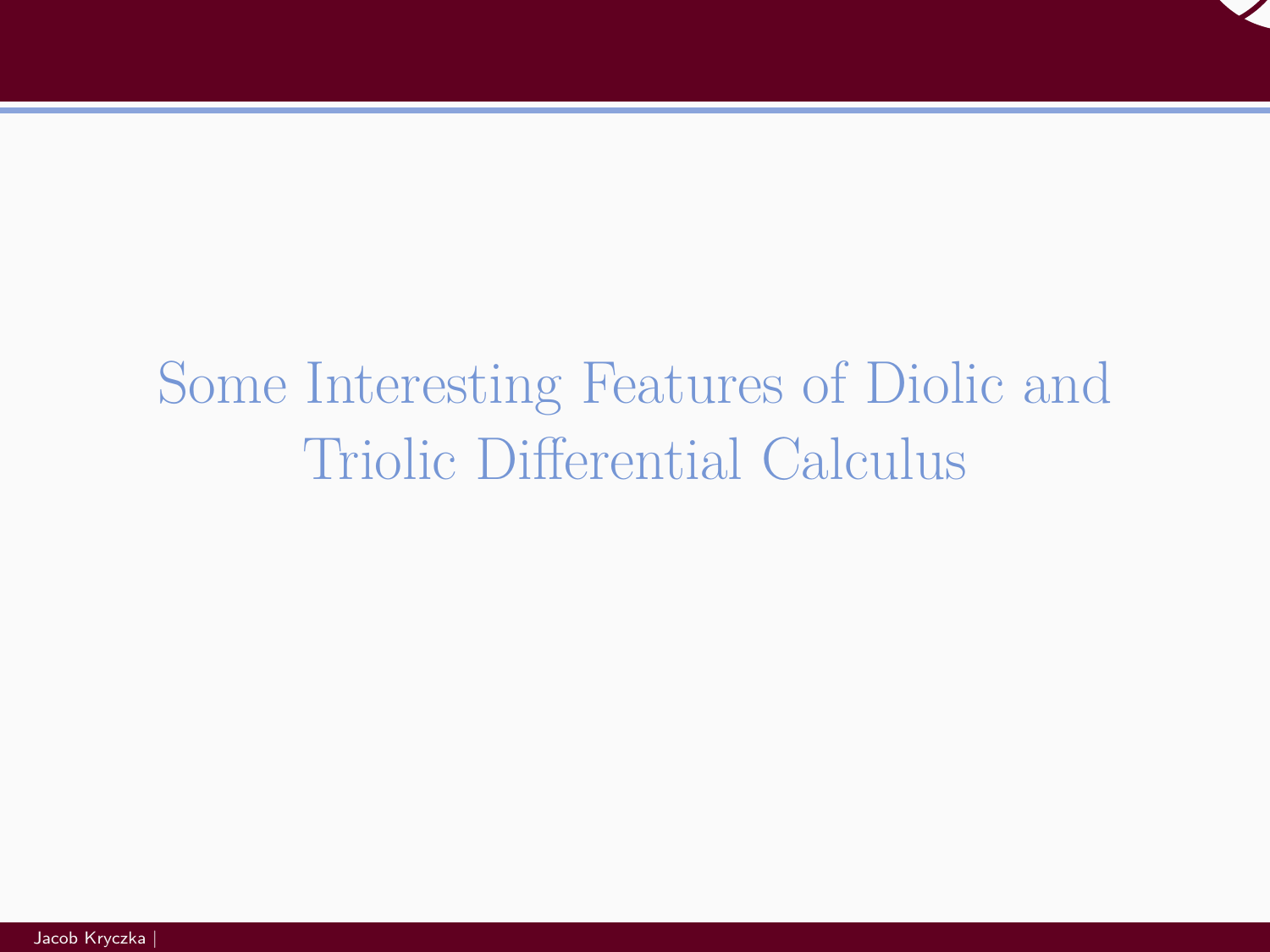

# <span id="page-23-0"></span>[Some Interesting Features of Diolic and](#page-23-0) [Triolic Differential Calculus](#page-23-0)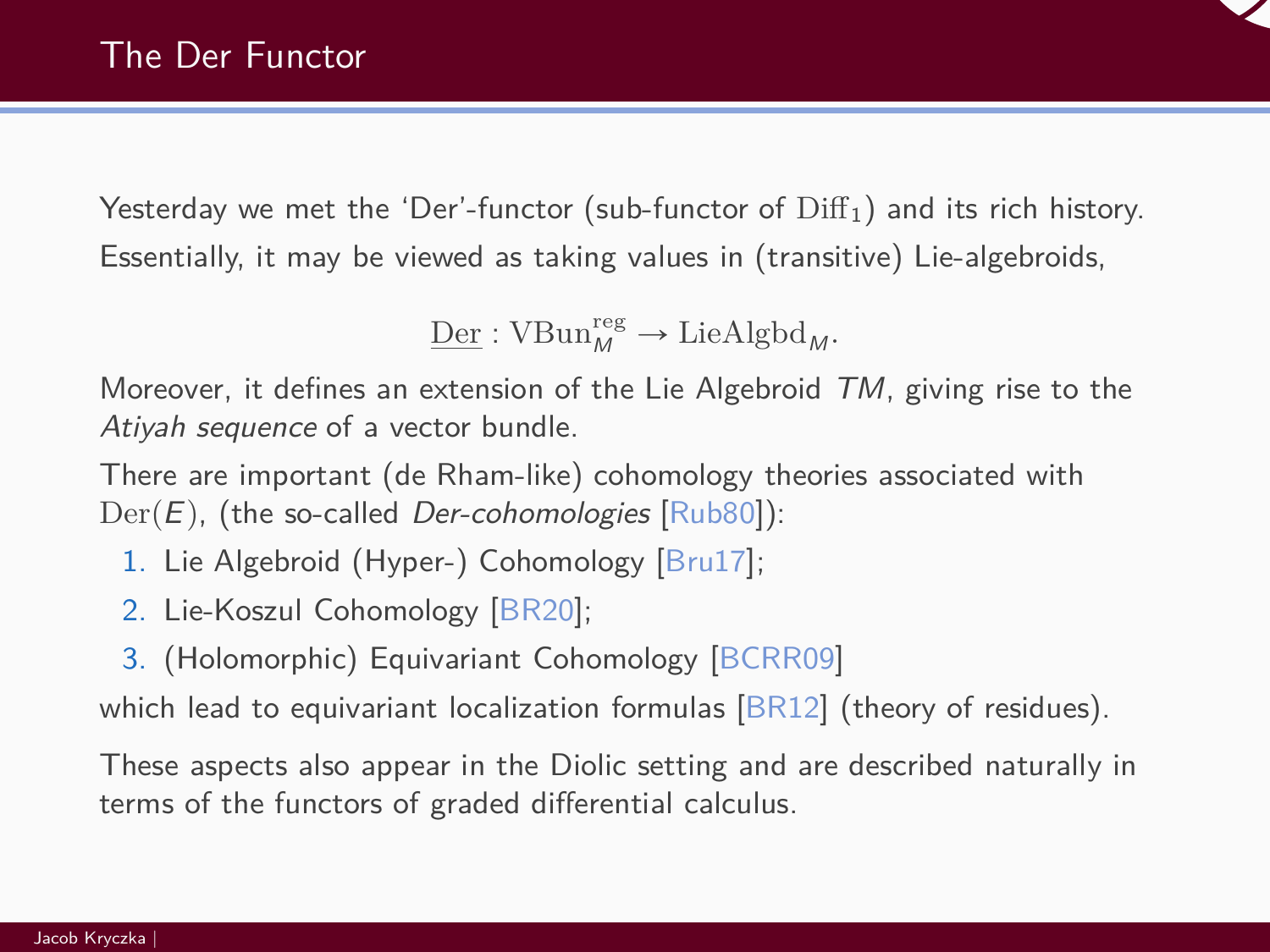

Yesterday we met the 'Der'-functor (sub-functor of  $\text{Diff}_1$ ) and its rich history. Essentially, it may be viewed as taking values in (transitive) Lie-algebroids,

 $\underline{\text{Der}}$ : VBun<sup>reg</sup>  $\rightarrow$  LieAlgbd<sub>M</sub>.

Moreover, it defines an extension of the Lie Algebroid  $TM$ , giving rise to the Atiyah sequence of a vector bundle.

There are important (de Rham-like) cohomology theories associated with  $Der(E)$ , (the so-called *Der-cohomologies* [\[Rub80\]](#page-42-4)):

- 1. Lie Algebroid (Hyper-) Cohomology [\[Bru17\]](#page-41-1);
- 2. Lie-Koszul Cohomology [\[BR20\]](#page-41-2);
- 3. (Holomorphic) Equivariant Cohomology [\[BCRR09\]](#page-41-3)

which lead to equivariant localization formulas  $[BR12]$  (theory of residues).

These aspects also appear in the Diolic setting and are described naturally in terms of the functors of graded differential calculus.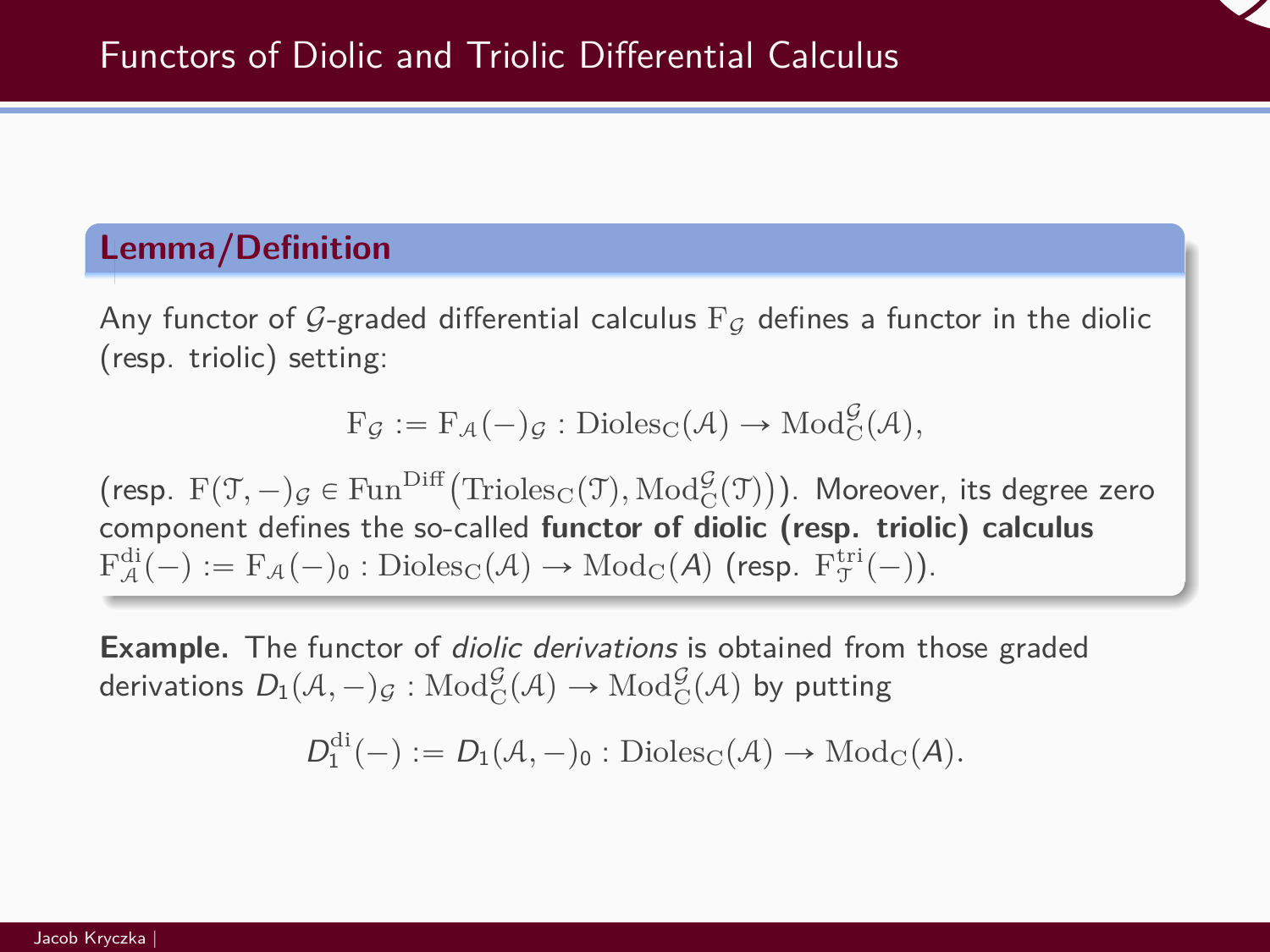

# **Lemma/Definition**

Any functor of G-graded differential calculus  $F_G$  defines a functor in the diolic (resp. triolic) setting:

$$
F_{\mathcal{G}} := F_{\mathcal{A}}(-)_{\mathcal{G}} : \mathrm{Dioles}_{C}(\mathcal{A}) \to \mathrm{Mod}_{C}^{\mathcal{G}}(\mathcal{A}),
$$

 $(\text{resp. } F(\mathcal{T}, -)_{\mathcal{G}} \in \text{Fun}^{\text{Diff}}(\text{Trioles}_{\mathcal{C}}(\mathcal{T}), \text{Mod}^{\mathcal{G}}_{\mathcal{C}}(\mathcal{T}))$ ). Moreover, its degree zero component defines the so-called **functor of diolic (resp. triolic) calculus**  $\mathrm{F}_{\mathcal{A}}^{\mathrm{di}}(-) := \mathrm{F}_{\mathcal{A}}(-)_{\mathsf{0}} : \mathrm{Dioles}_{\mathrm{C}}(\mathcal{A}) \to \mathrm{Mod}_{\mathrm{C}}(\mathcal{A}) \text{ (resp. } \mathrm{F}_{\mathfrak{I}}^{\mathrm{tri}}(-) \text{)}.$ 

**Example.** The functor of diolic derivations is obtained from those graded derivations  $D_1(\mathcal{A},-)_\mathcal{G} : {\rm Mod}^\mathcal{G}_C(\mathcal{A}) \to {\rm Mod}^\mathcal{G}_C(\mathcal{A})$  by putting

$$
\mathit{D}^{\mathrm{di}}_{1}(-):=\mathit{D}_{1}(\mathcal{A},-)_{0}:\mathrm{Dioles}_{\mathrm{C}}(\mathcal{A})\rightarrow\mathrm{Mod}_{\mathrm{C}}(\mathcal{A}).
$$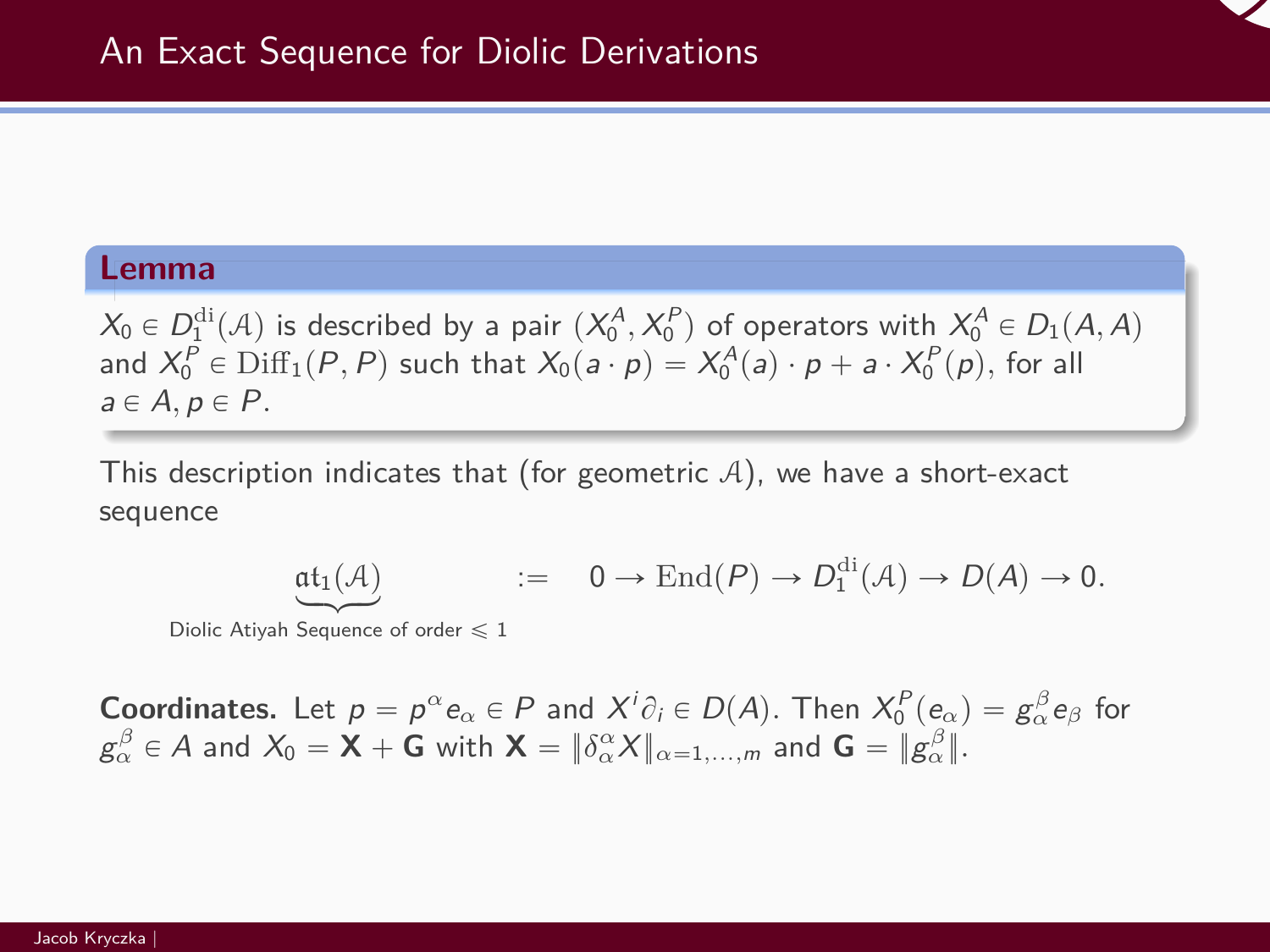#### **Lemma**

 $X_0 \in D_1^{\text{di}}(\mathcal{A})$  is described by a pair  $(X_0^A, X_0^P)$  of operators with  $X_0^A \in D_1(\mathcal{A}, \mathcal{A})$ and  $X_0^P \in \text{Diff}_1(P, P)$  such that  $X_0(a \cdot p) = X_0^A(a) \cdot p + a \cdot X_0^P(p)$ , for all  $a \in A, p \in P$ .

This description indicates that (for geometric  $A$ ), we have a short-exact sequence

$$
\underbrace{\mathfrak{at}_1(\mathcal{A})} \qquad \qquad := \quad 0 \to \mathrm{End}(P) \to D_1^{\mathrm{di}}(\mathcal{A}) \to D(\mathcal{A}) \to 0.
$$

Diolic Atiyah Sequence of order  $\leqslant$  1

**Coordinates.** Let  $p = p^{\alpha} e_{\alpha} \in P$  and  $X^{i} \partial_{i} \in D(A)$ . Then  $X_{0}^{P}(e_{\alpha}) = g_{\alpha}^{\beta} e_{\beta}$  for  $g_{\alpha}^{\beta} \in A$  and  $X_0 = \mathsf{X} + \mathsf{G}$  with  $\mathsf{X} = \|\delta_{\alpha}^{\alpha} X\|_{\alpha = 1, ..., m}$  and  $\mathsf{G} = \|g_{\alpha}^{\beta}\|$ .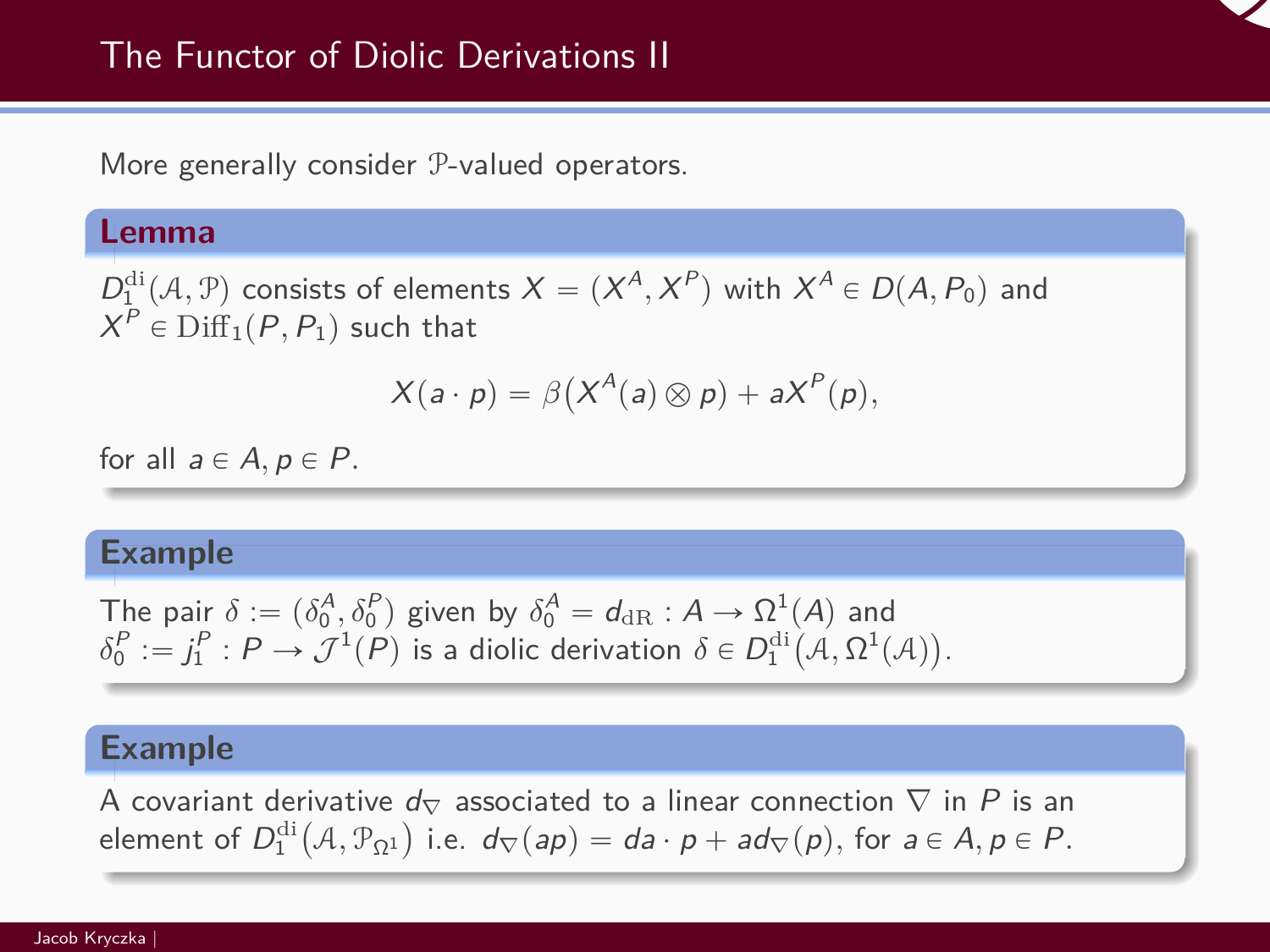

More generally consider P-valued operators.

#### **Lemma**

 $D_1^{\text{di}}(\mathcal{A}, \mathcal{P})$  consists of elements  $X = (X^A, X^P)$  with  $X^A \in D(\mathcal{A}, P_0)$  and  $X^P \in \mathrm{Diff}_1(P, P_1)$  such that

$$
X(a \cdot p) = \beta \big( X^A(a) \otimes p \big) + a X^P(p),
$$

for all  $a \in A$ ,  $p \in P$ .

#### **Example**

The pair 
$$
\delta := (\delta_0^A, \delta_0^P)
$$
 given by  $\delta_0^A = d_{\text{dR}} : A \to \Omega^1(A)$  and  $\delta_0^P := j_1^P : P \to \mathcal{J}^1(P)$  is a diolic derivation  $\delta \in D_1^{\text{di}}(A, \Omega^1(A))$ .

#### **Example**

A covariant derivative  $d_{\nabla}$  associated to a linear connection  $\nabla$  in  $P$  is an element of  $D^{di}_{1}\big({\mathcal A}, {\mathcal P}_{\Omega^{1}}\big)$  i.e.  $d_{\nabla}(ap)= da\cdot p + ad_{\nabla}(p),$  for  $a\in A,$   $p\in P.$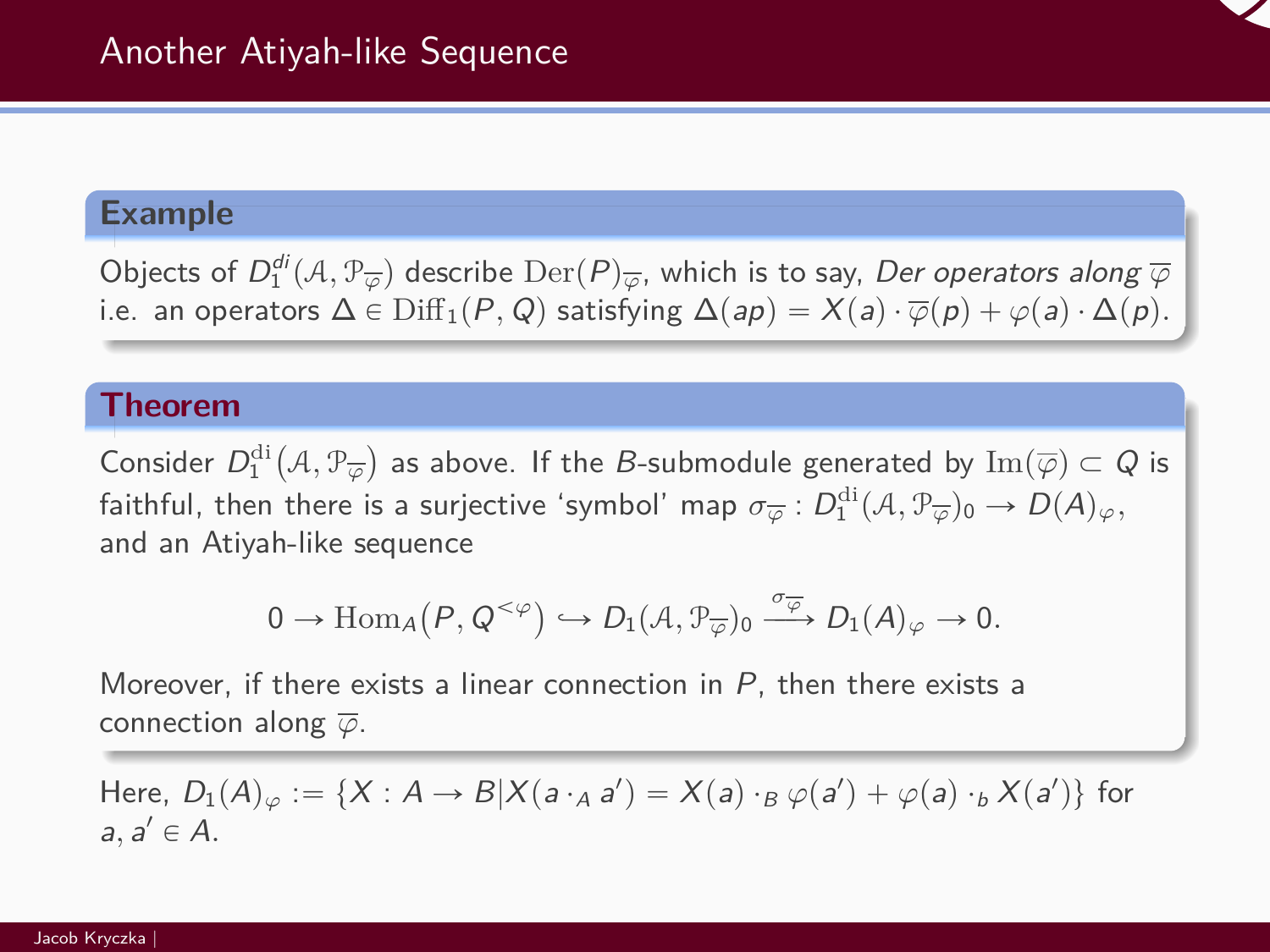### **Example**

Objects of  $D_1^{di}({\cal A},P_{\overline{\varphi}})$  describe  ${\rm Der}(P)_{\overline{\varphi}},$  which is to say, *Der operators along*  $\overline{\varphi}$ i.e. an operators  $\Delta \in \text{Diff}_1(P,Q)$  satisfying  $\Delta(ap) = X(a) \cdot \overline{\varphi}(p) + \varphi(a) \cdot \Delta(p)$ .

#### **Theorem**

Consider  $D_1^{\text{di}}$ ` A*,* P*<sup>φ</sup>* ˘ as above. If the *B*-submodule generated by  $\mathrm{Im}(\overline{\varphi})\subset Q$  is faithful, then there is a surjective 'symbol' map  $\sigma_{\overline\varphi}:D_1^{\rm di}({\cal A},{\mathbb P}_{\overline\varphi})_0\to D(A)_\varphi,$ and an Atiyah-like sequence

$$
0 \to \text{Hom}_{A}(P, Q^{<\varphi}) \hookrightarrow D_1(\mathcal{A}, \mathcal{P}_{\overline{\varphi}})_{0} \xrightarrow{\sigma_{\overline{\varphi}}} D_1(A)_{\varphi} \to 0.
$$

Moreover, if there exists a linear connection in  $P$ , then there exists a connection along *φ*.

Here,  $D_1(A)_\varphi := \{X: A \to B | X(a \cdot_A a') = X(a) \cdot_B \varphi(a') + \varphi(a) \cdot_b X(a')\}$  for  $a, a' \in A$ .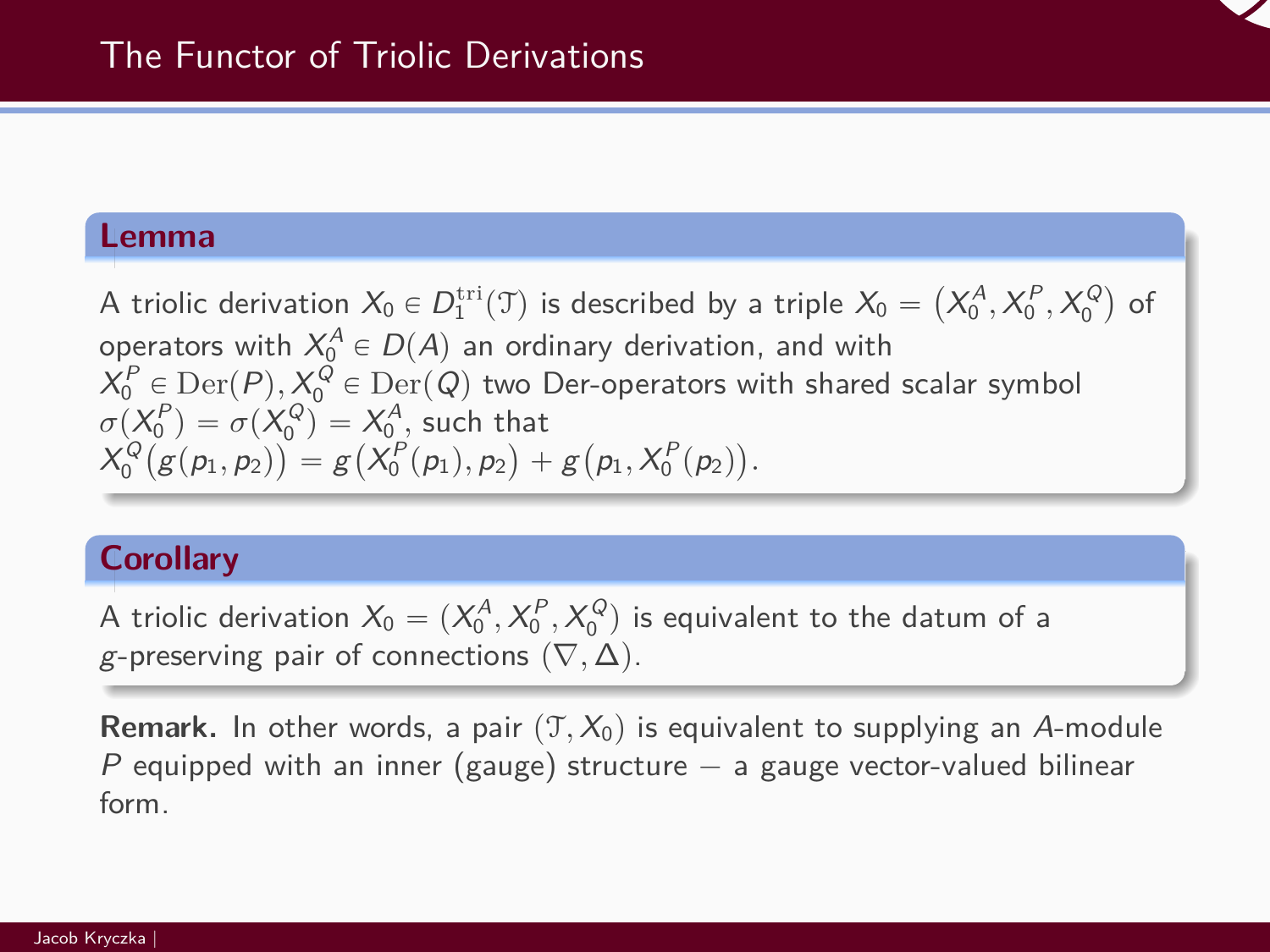#### **Lemma**

A triolic derivation  $X_0 \in D_1^{\text{tri}}(\mathfrak{T})$  is described by a triple  $X_0 =$  $X_0^A, X_0^P, X_0^Q$ of operators with  $X_0^A \in D(A)$  an ordinary derivation, and with  $X_0^P \in \mathrm{Der}(P), X_0^Q \in \mathrm{Der}(Q)$  two Der-operators with shared scalar symbol  $\sigma(X_0^P) = \sigma(X_0^Q) = X_0^A$ , such that  $X_0^Q(g(p_1, p_2)) = g(X_0^P(p_1), p_2) + g$  $\mathcal{L}$  $p_1, X_0^P(p_2)$ ˘ *.*

### **Corollary**

A triolic derivation  $X_0 = (X_0^A, X_0^P, X_0^Q)$  is equivalent to the datum of a g-preserving pair of connections  $(∇, ∆)$ .

**Remark.** In other words, a pair  $(T, X_0)$  is equivalent to supplying an A-module P equipped with an inner (gauge) structure  $-$  a gauge vector-valued bilinear form.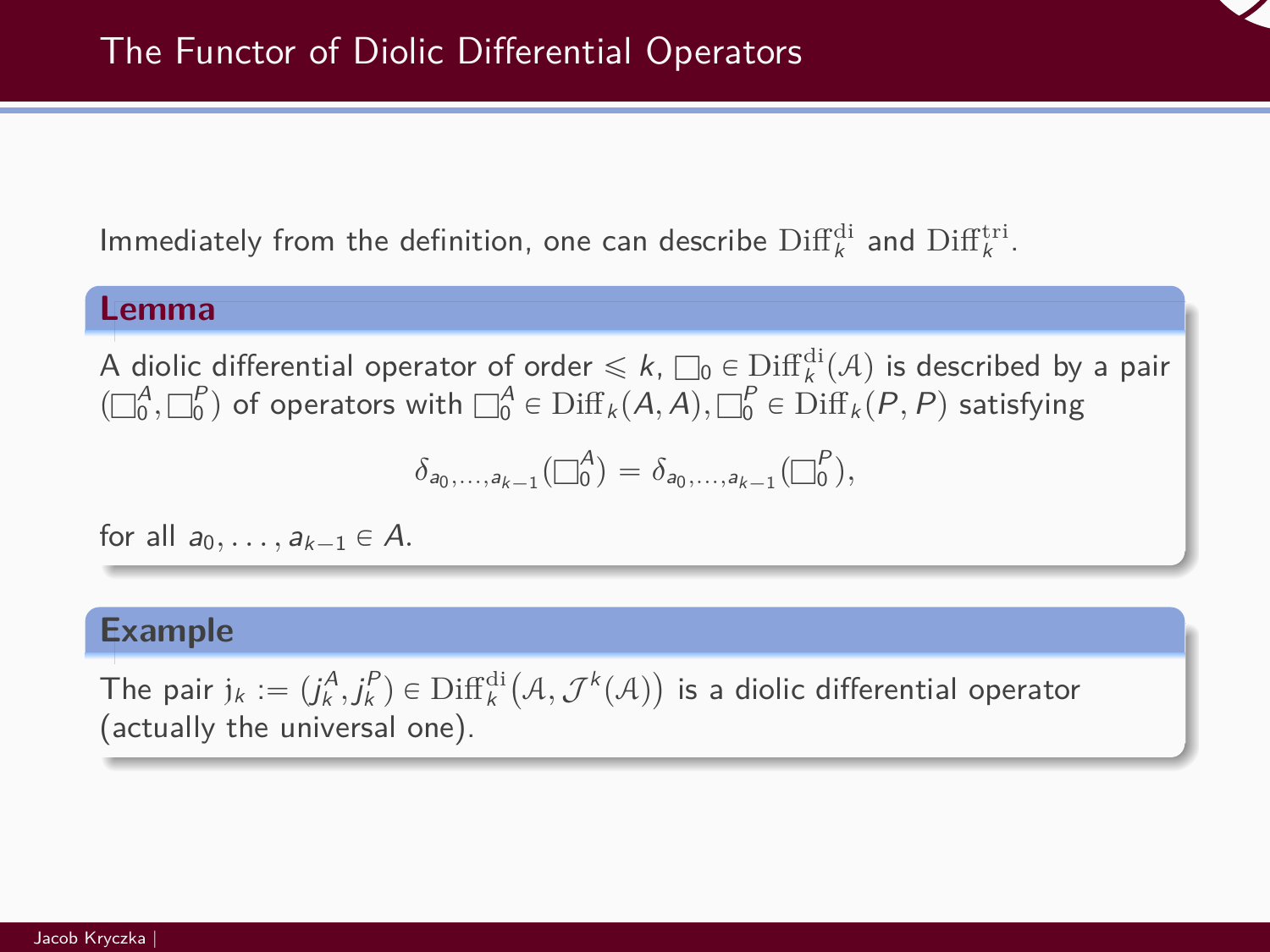Immediately from the definition, one can describe  $\mathrm{Diff}^{\mathrm{di}}_k$  and  $\mathrm{Diff}^{\mathrm{tri}}_k$ .

#### **Lemma**

A diolic differential operator of order  $\leqslant k$ ,  $\square_0 \in \text{Diff}_k^{\text{di}}(\mathcal{A})$  is described by a pair  $(\Box_0^A, \Box_0^P)$  of operators with  $\Box_0^A \in \text{Diff}_k(A, A), \Box_0^P \in \text{Diff}_k(P, P)$  satisfying

$$
\delta_{a_0,\ldots,a_{k-1}}(\Box_0^A) = \delta_{a_0,\ldots,a_{k-1}}(\Box_0^P),
$$

for all  $a_0, \ldots, a_{k-1} \in A$ .

#### **Example**

The pair  $j_k := (j_k^A, j_k^P) \in \text{Diff}_k^{\text{di}}$ `  $A, \mathcal{J}^k(\mathcal{A})$ ˘ is a diolic differential operator (actually the universal one).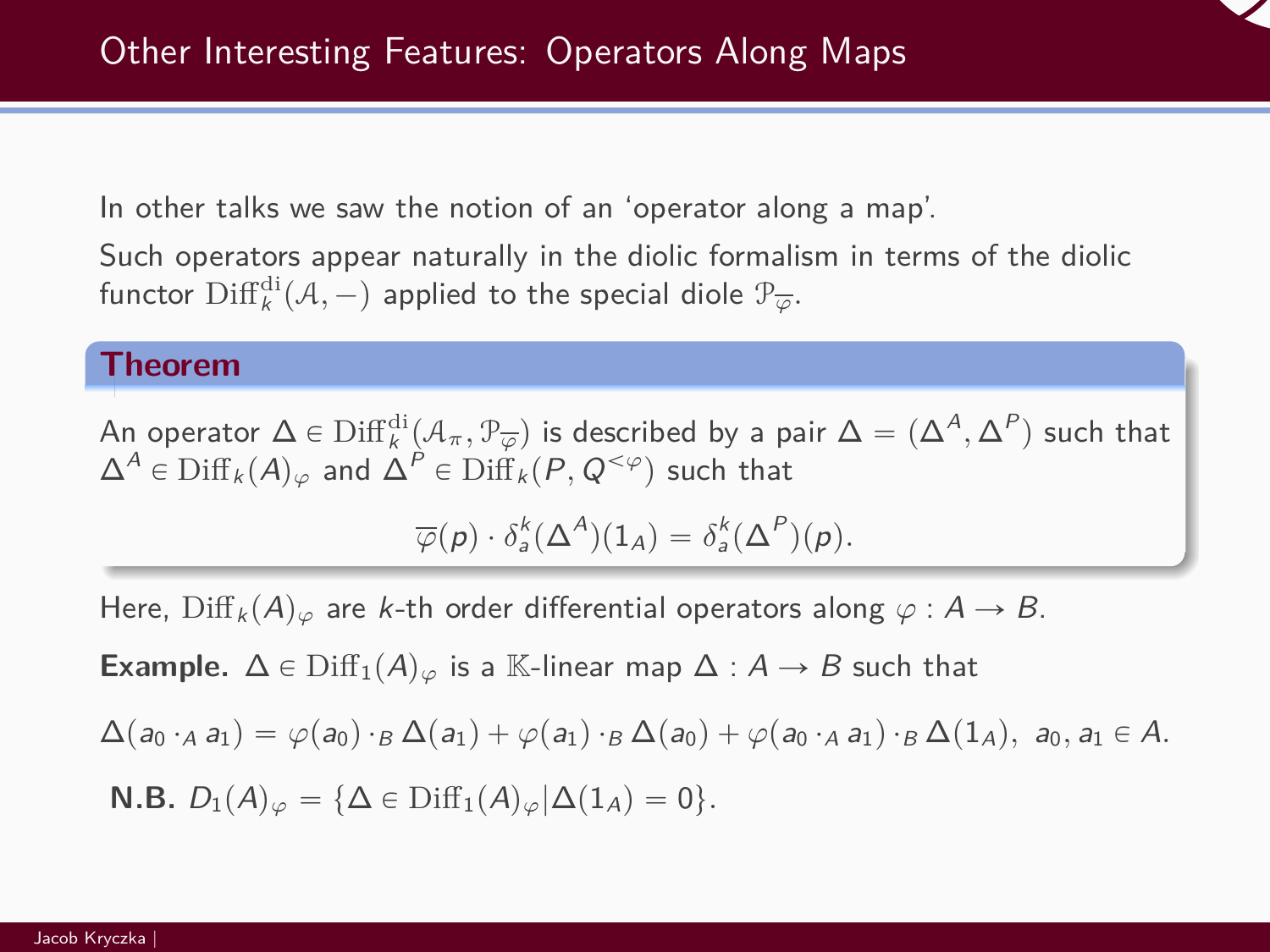

In other talks we saw the notion of an 'operator along a map'.

Such operators appear naturally in the diolic formalism in terms of the diolic functor  $\mathrm{Diff}^{\mathrm{di}}_{k}(\mathcal{A},-)$  applied to the special diole  $\mathcal{P}_{\overline{\varphi}}.$ 

#### **Theorem**

An operator  $\Delta\in\mathrm{Diff}^{\mathrm{di}}_k(\mathcal{A}_\pi,\mathcal{P}_{\overline{\varphi}})$  is described by a pair  $\Delta=(\Delta^A,\Delta^P)$  such that  $\Delta^A$  ∈ Diff<sub>k</sub>( $A$ )<sub> $\varphi$ </sub> and  $\Delta^P$  ∈ Diff<sub>k</sub>( $P, Q^{<\varphi}$ ) such that

$$
\overline{\varphi}(p) \cdot \delta_a^k(\Delta^A)(1_A) = \delta_a^k(\Delta^P)(p).
$$

Here,  $\text{Diff}_k(A)_{\varphi}$  are k-th order differential operators along  $\varphi : A \to B$ .

**Example.**  $\Delta \in \text{Diff}_1(A)_{\varphi}$  is a K-linear map  $\Delta : A \rightarrow B$  such that

$$
\Delta(a_0 \cdot_A a_1) = \varphi(a_0) \cdot_B \Delta(a_1) + \varphi(a_1) \cdot_B \Delta(a_0) + \varphi(a_0 \cdot_A a_1) \cdot_B \Delta(1_A), \ a_0, a_1 \in A.
$$

**N.B.**  $D_1(A)_{\varphi} = {\{\Delta \in \text{Diff}_1(A)_{\varphi} | \Delta(1_A) = 0\}}.$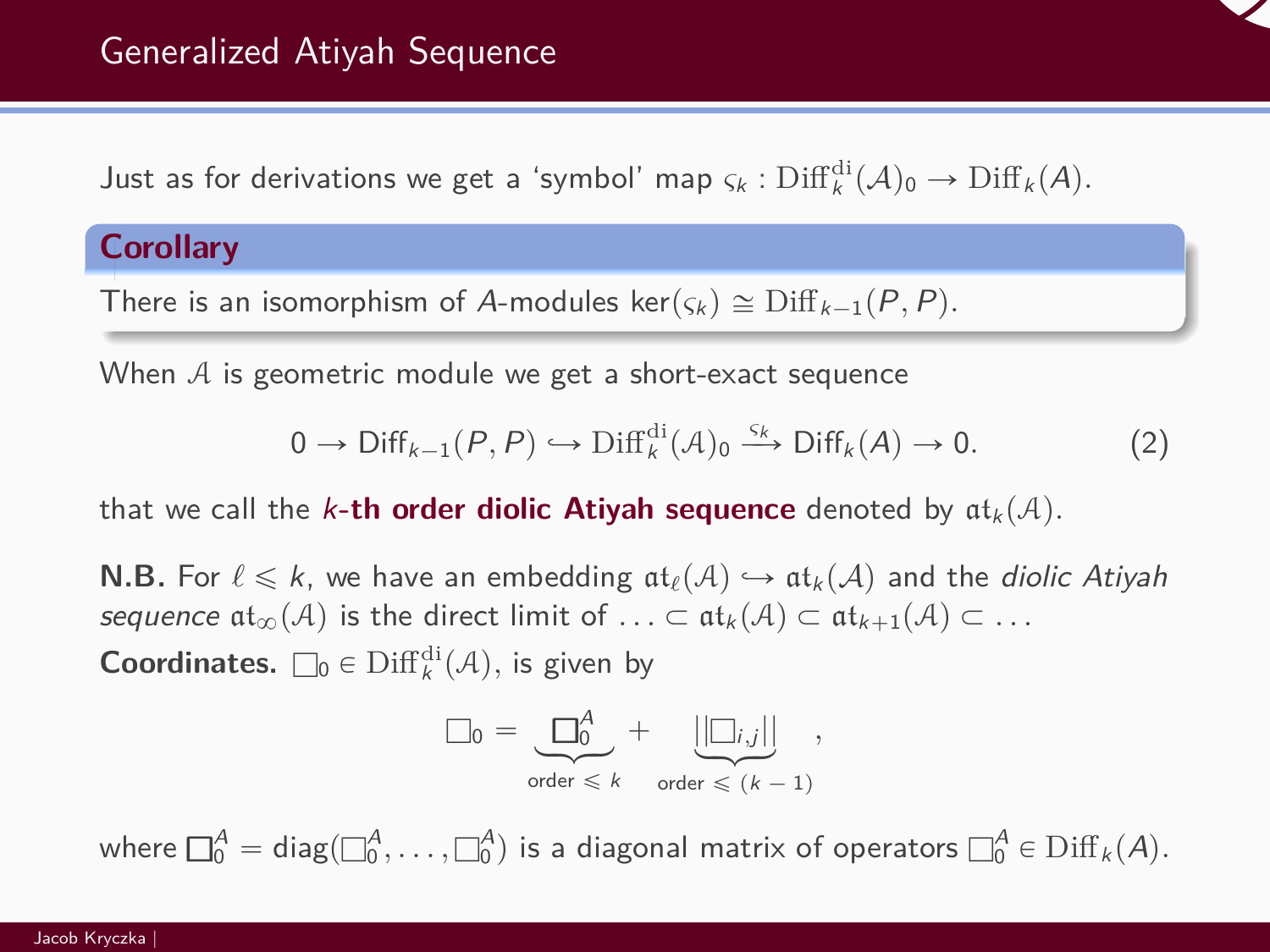Just as for derivations we get a 'symbol' map  $\varsigma_k$ :  $\text{Diff}_{k}^{\text{di}}(\mathcal{A})_0 \to \text{Diff}_{k}(\mathcal{A})$ .

### **Corollary**

There is an isomorphism of A-modules  $\ker(\varsigma_k) \cong \text{Diff}_{k-1}(P, P)$ *.* 

When  $A$  is geometric module we get a short-exact sequence

$$
0 \to \text{Diff}_{k-1}(P, P) \hookrightarrow \text{Diff}_{k}^{\text{di}}(\mathcal{A})_{0} \xrightarrow{\varsigma_{k}} \text{Diff}_{k}(A) \to 0. \tag{2}
$$

that we call the k-th order diolic Atiyah sequence denoted by  $at_k(A)$ .

**N.B.** For  $\ell \leq k$ , we have an embedding  $\text{at}_{\ell}(\mathcal{A}) \hookrightarrow \text{at}_{k}(\mathcal{A})$  and the *diolic Atiyah* sequence  $\mathfrak{at}_{\infty}(\mathcal{A})$  is the direct limit of  $\ldots \subset \mathfrak{at}_k(\mathcal{A}) \subset \mathfrak{at}_{k+1}(\mathcal{A}) \subset \ldots$ 

**Coordinates.**  $\square_0 \in \text{Diff}_k^{\text{di}}(\mathcal{A})$ , is given by

$$
\Box_0 = \underbrace{\Box_0^A}_{\text{order } \leq k} + \underbrace{\left|\left|\Box_{i,j}\right|\right|}_{\text{order } \leq (k-1)},
$$

where  $\Box^A_0={\rm diag}(\Box^A_0,\dots,\Box^A_0)$  is a diagonal matrix of operators  $\Box^A_0\in{\rm Diff}_k(A).$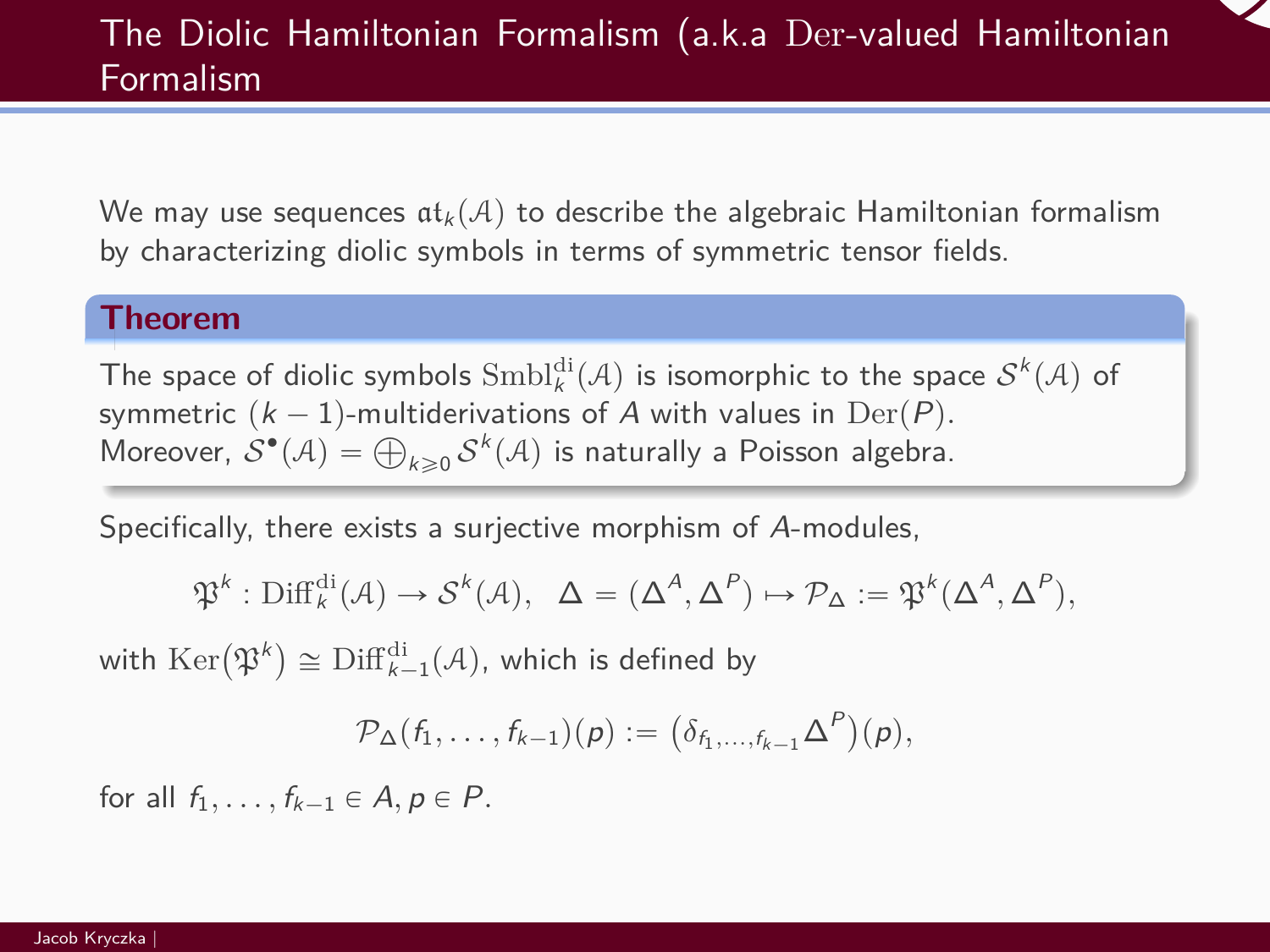We may use sequences  $\mathfrak{at}_k(\mathcal{A})$  to describe the algebraic Hamiltonian formalism by characterizing diolic symbols in terms of symmetric tensor fields.

#### **Theorem**

The space of diolic symbols  $\mathrm{Smbl}^{\mathrm{di}}_{k}(\mathcal{A})$  is isomorphic to the space  $\mathcal{S}^{k}(\mathcal{A})$  of symmetric  $(k - 1)$ -multiderivations of A with values in Der $(P)$ *.* symmetric  $(\kappa - 1)$ -multiderivations of A with values in Der $(P)$ .<br>Moreover,  $\mathcal{S}^{\bullet}(\mathcal{A}) = \bigoplus_{k \geqslant 0} \mathcal{S}^k(\mathcal{A})$  is naturally a Poisson algebra.

Specifically, there exists a surjective morphism of A-modules,

$$
\mathfrak{P}^k:\mathrm{Diff}^{\mathrm{di}}_k(\mathcal{A})\to\mathcal{S}^k(\mathcal{A}),\;\;\Delta=(\Delta^A,\Delta^P)\mapsto\mathcal{P}_\Delta:=\mathfrak{P}^k(\Delta^A,\Delta^P),
$$

with  $\mathrm{Ker}(\mathfrak{P}^k) \cong \mathrm{Diff}_{k-1}^{\mathrm{di}}(\mathcal{A}),$  which is defined by

$$
\mathcal{P}_{\Delta}(f_1,\ldots,f_{k-1})(p):=\big(\delta_{f_1,\ldots,f_{k-1}}\Delta^P\big)(p),
$$

for all  $f_1, \ldots, f_{k-1} \in A, p \in P$ .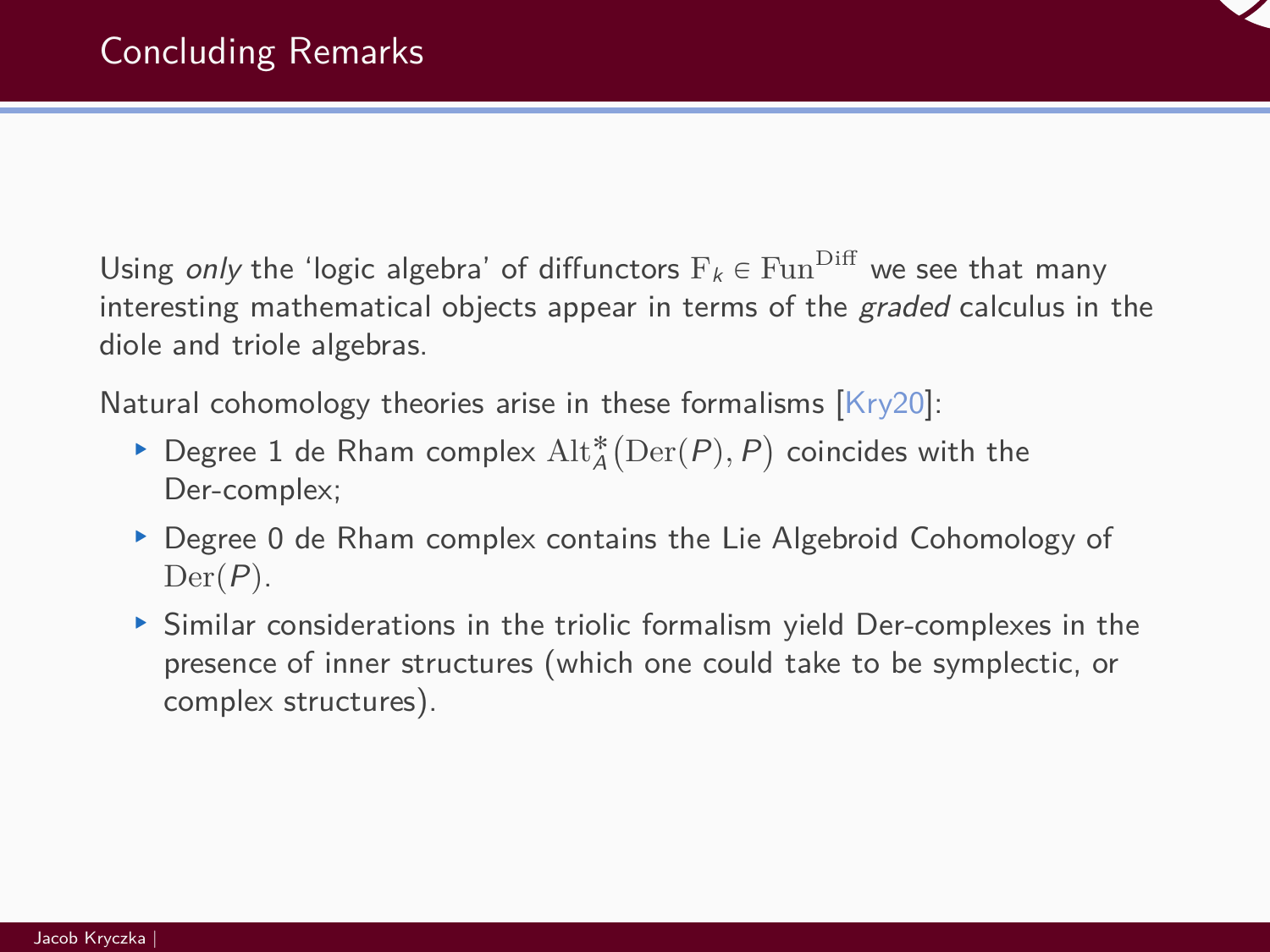

Using only the 'logic algebra' of diffunctors  $F_k \in \text{Fun}^{\text{Diff}}$  we see that many interesting mathematical objects appear in terms of the *graded* calculus in the diole and triole algebras.

Natural cohomology theories arise in these formalisms  $\textsf{Kry20]:}$ 

- ▶ Degree 1 de Rham complex  $\mathrm{Alt}_A^*\big(\mathrm{Der}(P), P\big)$  coincides with the Der-complex;
- ▶ Degree 0 de Rham complex contains the Lie Algebroid Cohomology of  $Der(P)$ .
- § Similar considerations in the triolic formalism yield Der-complexes in the presence of inner structures (which one could take to be symplectic, or complex structures).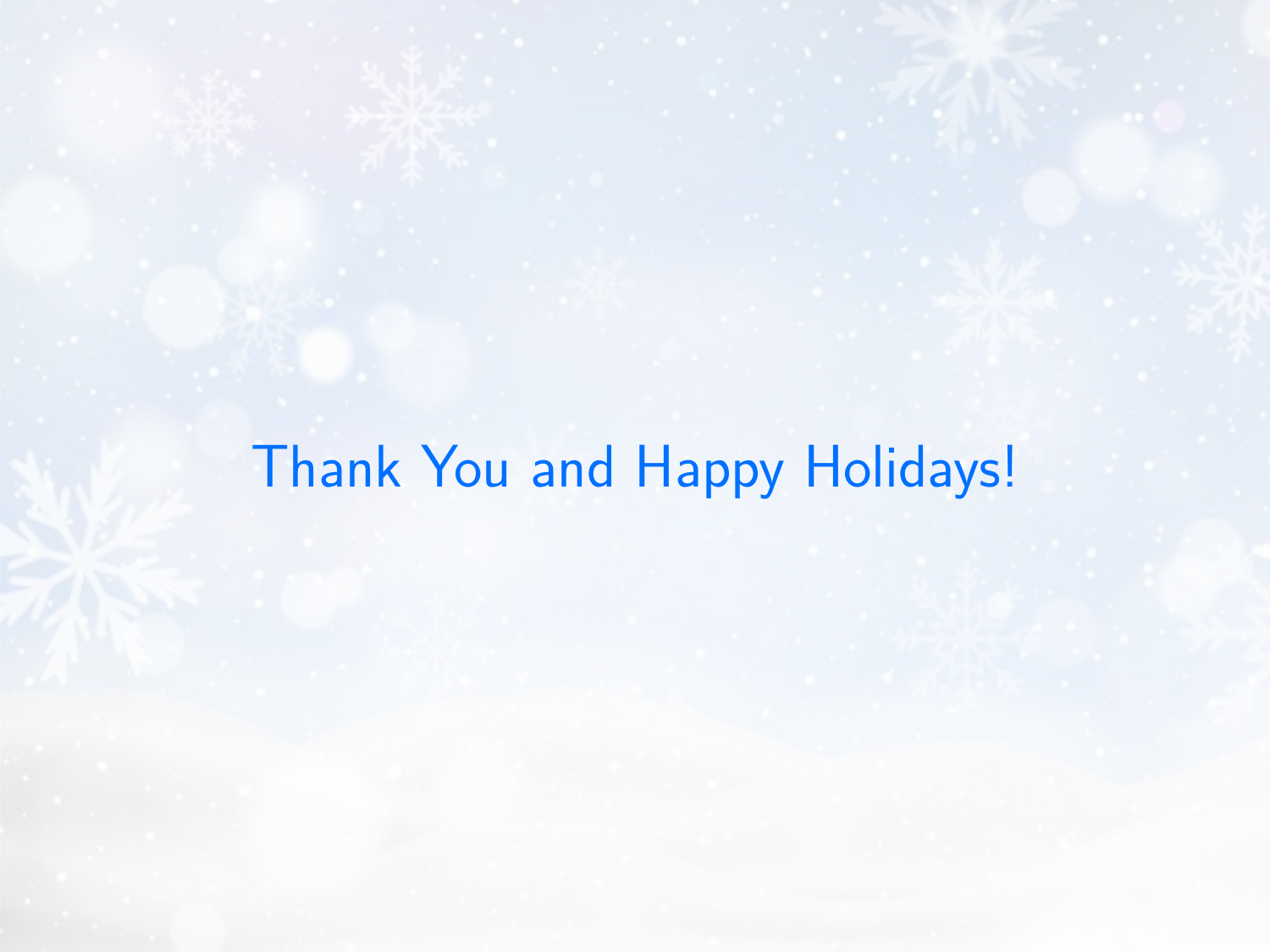# Thank You and Happy Holidays!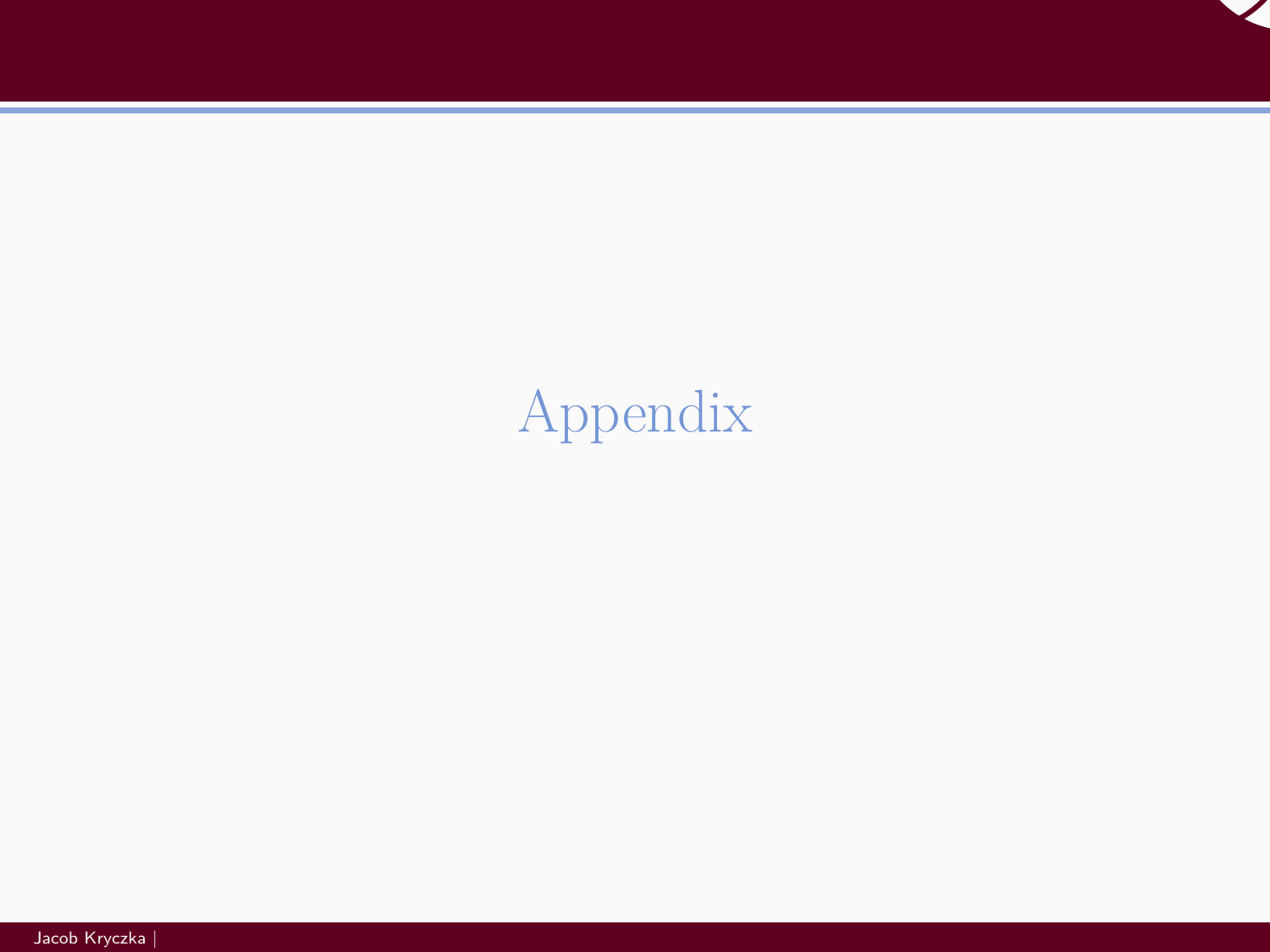

# <span id="page-36-0"></span>[Appendix](#page-36-0)

Jacob Kryczka |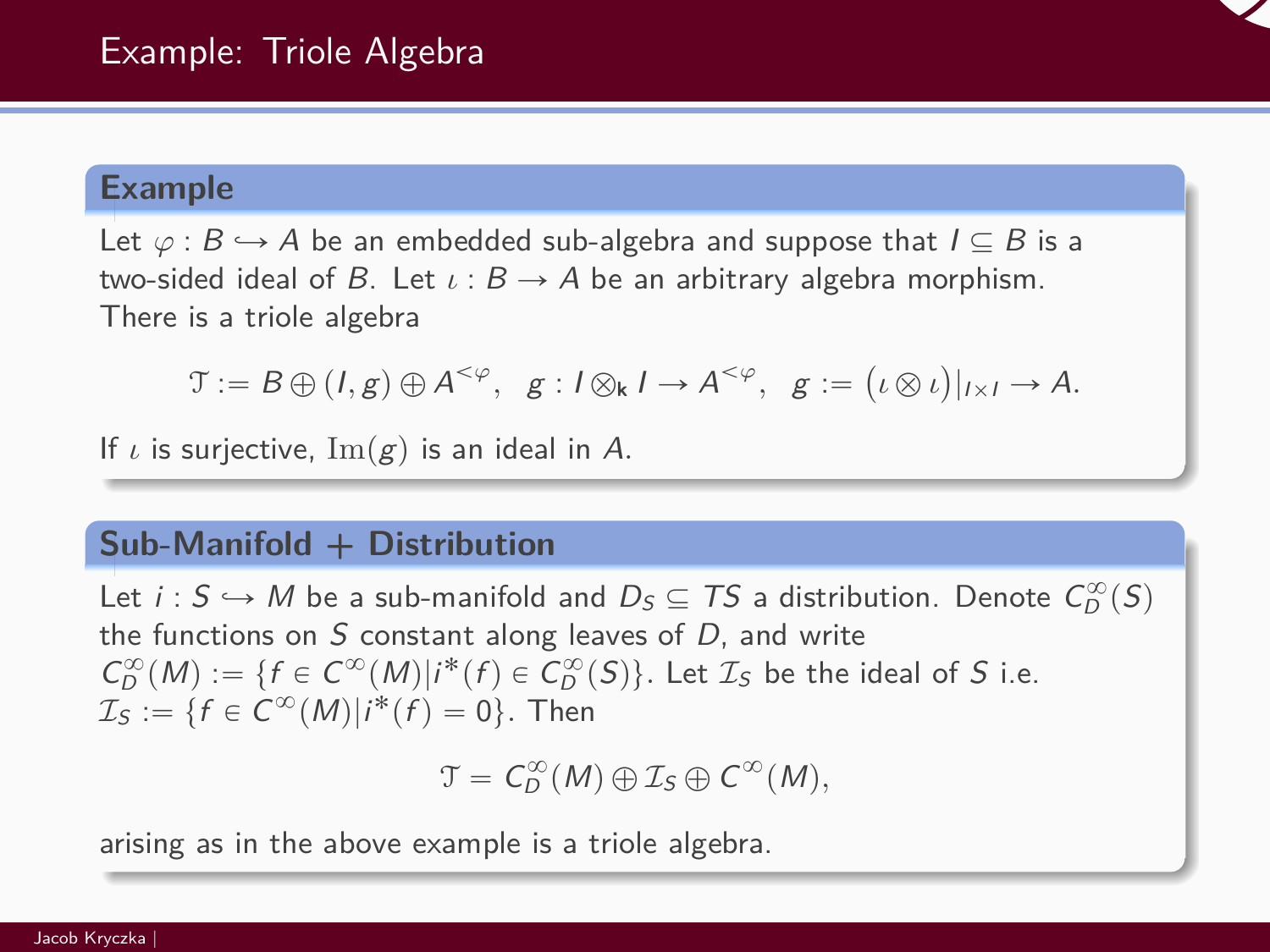#### **Example**

Let  $\varphi : B \hookrightarrow A$  be an embedded sub-algebra and suppose that  $I \subseteq B$  is a two-sided ideal of B. Let  $\iota$  :  $B \to A$  be an arbitrary algebra morphism. There is a triole algebra

 $\mathfrak{T} := B \oplus (I, g) \oplus A^{\leq \varphi}, \quad g : I \otimes_{\mathsf{k}} I \to A^{\leq \varphi}, \quad g :=$  $\mathbb{R}^2$ *ι* b *ι* ˘  $|I\times I \to A$ .

If  $\iota$  is surjective,  $\text{Im}(g)$  is an ideal in A.

# **Sub-Manifold + Distribution**

Let  $i: S \hookrightarrow M$  be a sub-manifold and  $D_S \subseteq TS$  a distribution. Denote  $C_D^{\infty}(S)$ the functions on  $S$  constant along leaves of  $D$ , and write  $C_D^{\infty}(M) := \{f \in C^{\infty}(M) | i^*(f) \in C_D^{\infty}(S) \}.$  Let  $\mathcal{I}_S$  be the ideal of S i.e.  $\mathcal{I}_\mathcal{S} := \{ f \in C^\infty(M) | i^*(f) = 0 \}.$  Then

 $\mathcal{T} = C_D^{\infty}(M) \oplus \mathcal{I}_S \oplus C^{\infty}(M),$ 

arising as in the above example is a triole algebra.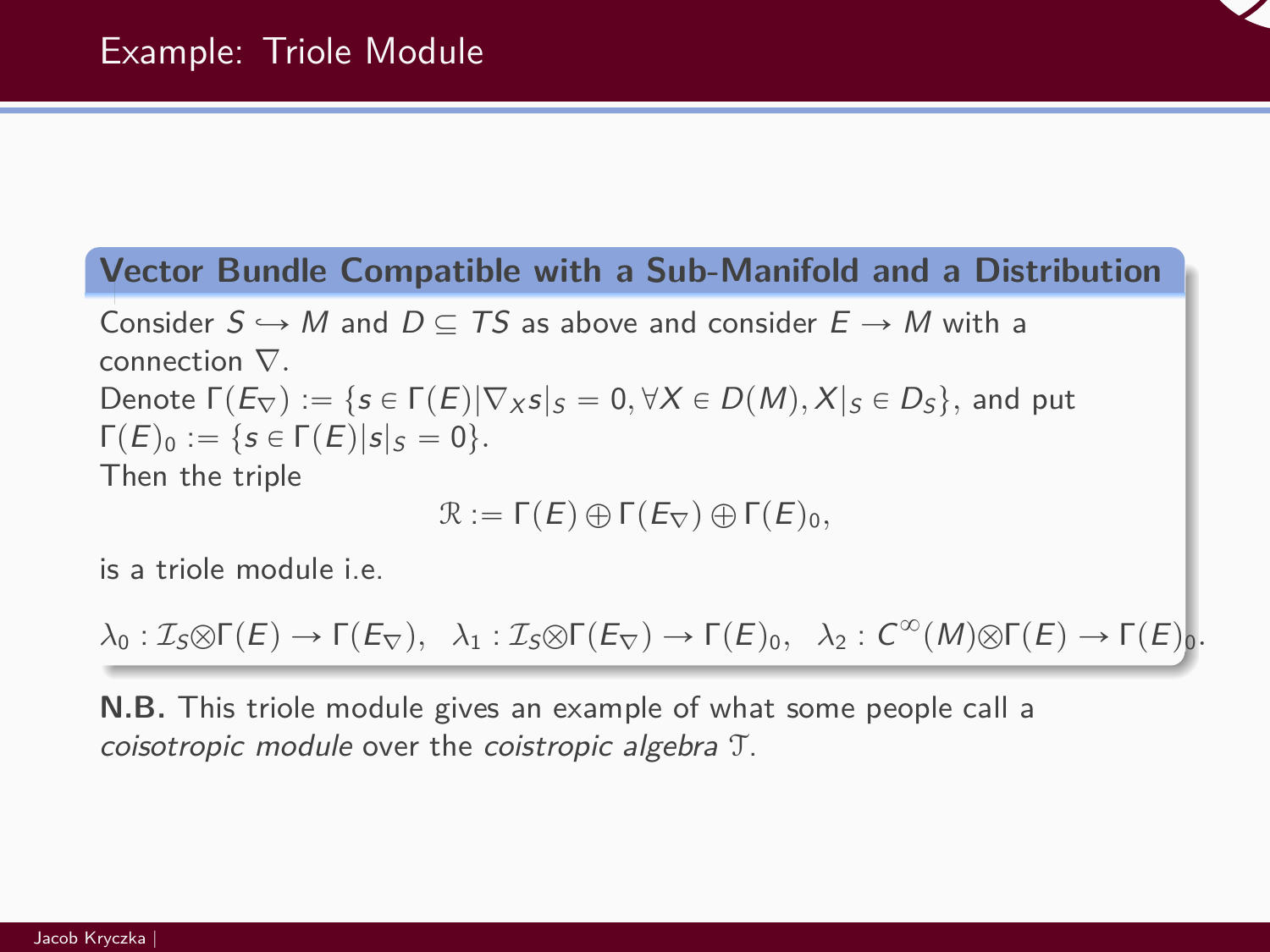# **Vector Bundle Compatible with a Sub-Manifold and a Distribution**

Consider  $S \hookrightarrow M$  and  $D \subseteq TS$  as above and consider  $E \rightarrow M$  with a connection ∇*.* Denote  $\Gamma(E_{\nabla}) := \{s \in \Gamma(E)|\nabla_X s|_S = 0, \forall X \in D(M), X|_S \in D_S\}$ , and put  $\Gamma(E)_0 := \{ s \in \Gamma(E) |s|_S = 0 \}.$ Then the triple

$$
\mathcal{R} := \Gamma(E) \oplus \Gamma(E_{\nabla}) \oplus \Gamma(E)_{0},
$$

is a triole module i.e.

$$
\lambda_0: \mathcal{I}_S \otimes \Gamma(E) \to \Gamma(E_{\nabla}), \quad \lambda_1: \mathcal{I}_S \otimes \Gamma(E_{\nabla}) \to \Gamma(E)_0, \quad \lambda_2: C^{\infty}(M) \otimes \Gamma(E) \to \Gamma(E)_0.
$$

**N.B.** This triole module gives an example of what some people call a coisotropic module over the coistropic algebra T.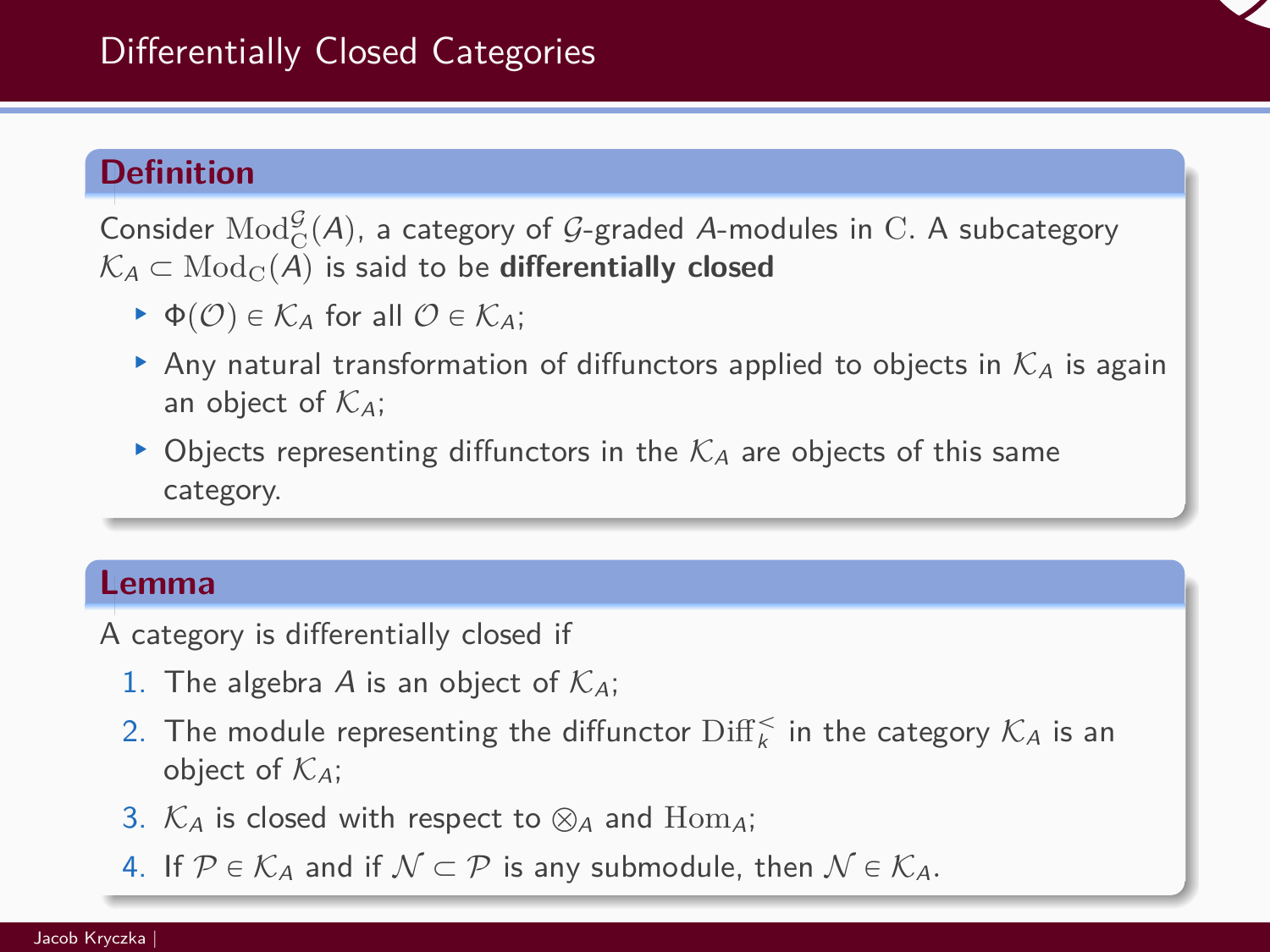

### **Definition**

Consider  $\mathrm{Mod}_{\mathbf{C}}^{\mathcal{G}}(A)$ , a category of  $\mathcal{G}\text{-graded }A\text{-modules}$  in  $\mathbf{C}.$  A subcategory  $K_A \subset \text{Mod}_\mathbb{C}(A)$  is said to be **differentially closed** 

- $\blacktriangleright$   $\Phi(\mathcal{O}) \in \mathcal{K}_A$  for all  $\mathcal{O} \in \mathcal{K}_A$ ;
- Any natural transformation of diffunctors applied to objects in  $K_A$  is again an object of  $K_A$ ;
- ▶ Objects representing diffunctors in the  $\mathcal{K}_A$  are objects of this same category.

#### **Lemma**

A category is differentially closed if

- 1. The algebra A is an object of  $\mathcal{K}_A$ ;
- 2. The module representing the diffunctor  $\operatorname{Diff}_k^<$  in the category  $\mathcal{K}_A$  is an object of  $K_A$ ;
- 3.  $K_A$  is closed with respect to  $\otimes_A$  and Hom<sub>A</sub>;
- 4. If  $\mathcal{P} \in \mathcal{K}_A$  and if  $\mathcal{N} \subset \mathcal{P}$  is any submodule, then  $\mathcal{N} \in \mathcal{K}_A$ .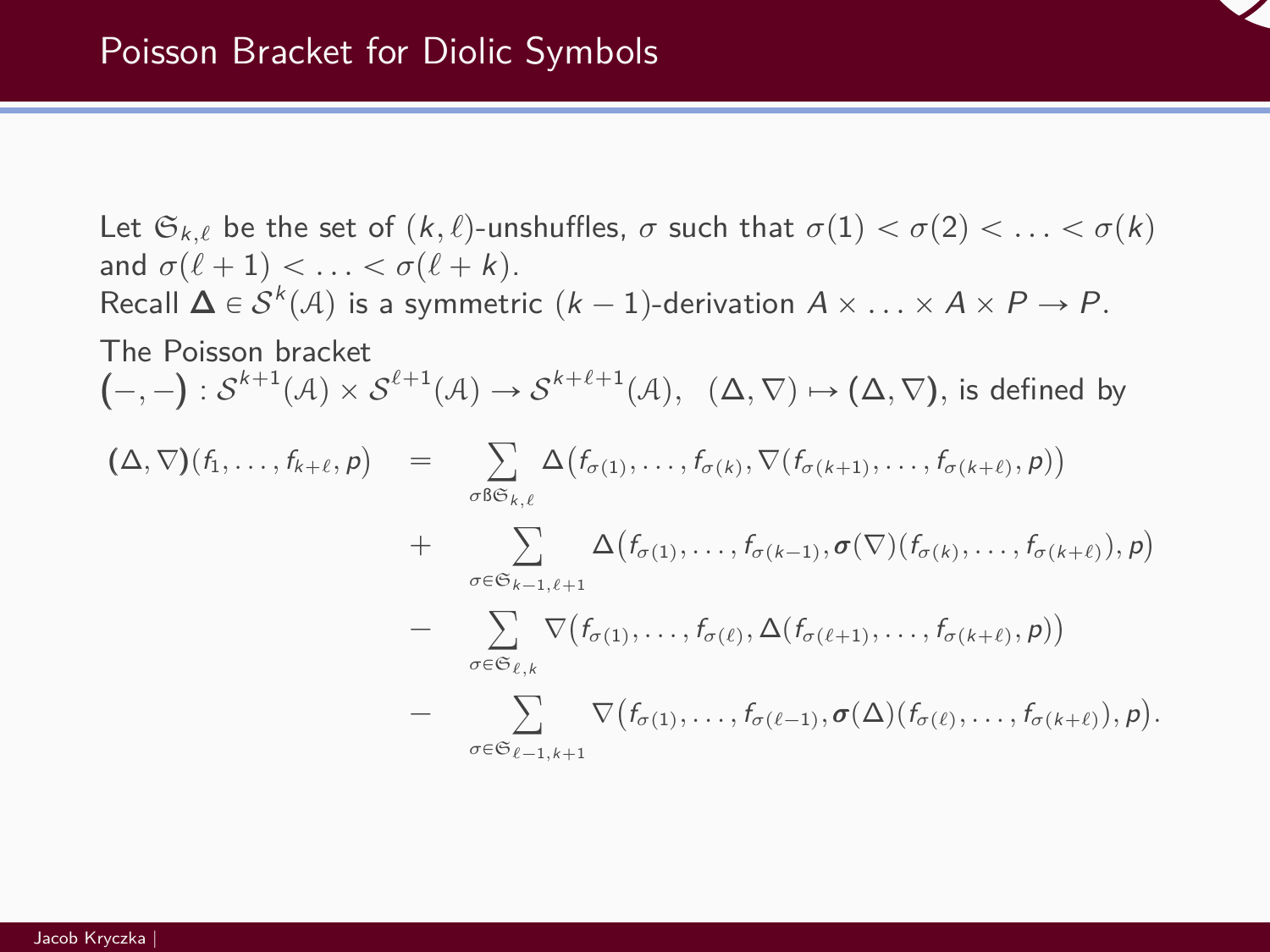

Let  $\mathfrak{S}_{k,\ell}$  be the set of  $(k,\ell)$ -unshuffles,  $\sigma$  such that  $\sigma(1) < \sigma(2) < \ldots < \sigma(k)$ and  $\sigma(\ell + 1) < \ldots < \sigma(\ell + k)$ . Recall  $\Delta \in \mathcal{S}^k(\mathcal{A})$  is a symmetric  $(k-1)$ -derivation  $A \times \ldots \times A \times P \rightarrow P$ . The Poisson bracket  $(-,-): \mathcal{S}^{k+1}(\mathcal{A}) \times \mathcal{S}^{\ell+1}(\mathcal{A}) \to \mathcal{S}^{k+\ell+1}(\mathcal{A}), \ \ (\Delta, \nabla) \mapsto (\Delta, \nabla),$  is defined by  $(\Delta, \nabla)$  $(f_1, \ldots, f_{k+\ell}, p)$  $=$   $\sum$   $\Delta$ ÿ *σ*ßSk*,ℓ*  $(f_{\sigma(1)}, \ldots, f_{\sigma(k)}, \nabla(f_{\sigma(k+1)}, \ldots, f_{\sigma(k+\ell)}, p))$ + ∑ ∆  $\overset{\kappa,\epsilon}{=}$  $\sigma \in \mathfrak{S}_{k-1}$ <sub> $\ell+1$ </sub>  $(f_{\sigma(1)}, \ldots, f_{\sigma(k-1)}, \sigma(\nabla)(f_{\sigma(k)}, \ldots, f_{\sigma(k+\ell)}), p)$  $\overline{\phantom{a}}$  $\tilde{\ }$ *σ*PS*ℓ,*<sup>k</sup> ∇  $\left(f_{\sigma(1)}, \ldots, f_{\sigma(\ell)}, \Delta(f_{\sigma(\ell+1)}, \ldots, f_{\sigma(k+\ell)}, p)\right)$ − ∑ ⊽  $\overset{\epsilon}{=}$  $\sigma \in \mathfrak{S}_{\ell-1,k+1}$  $(f_{\sigma(1)}, \ldots, f_{\sigma(\ell-1)}, \sigma(\Delta)(f_{\sigma(\ell)}, \ldots, f_{\sigma(k+\ell)}), p)$ *.*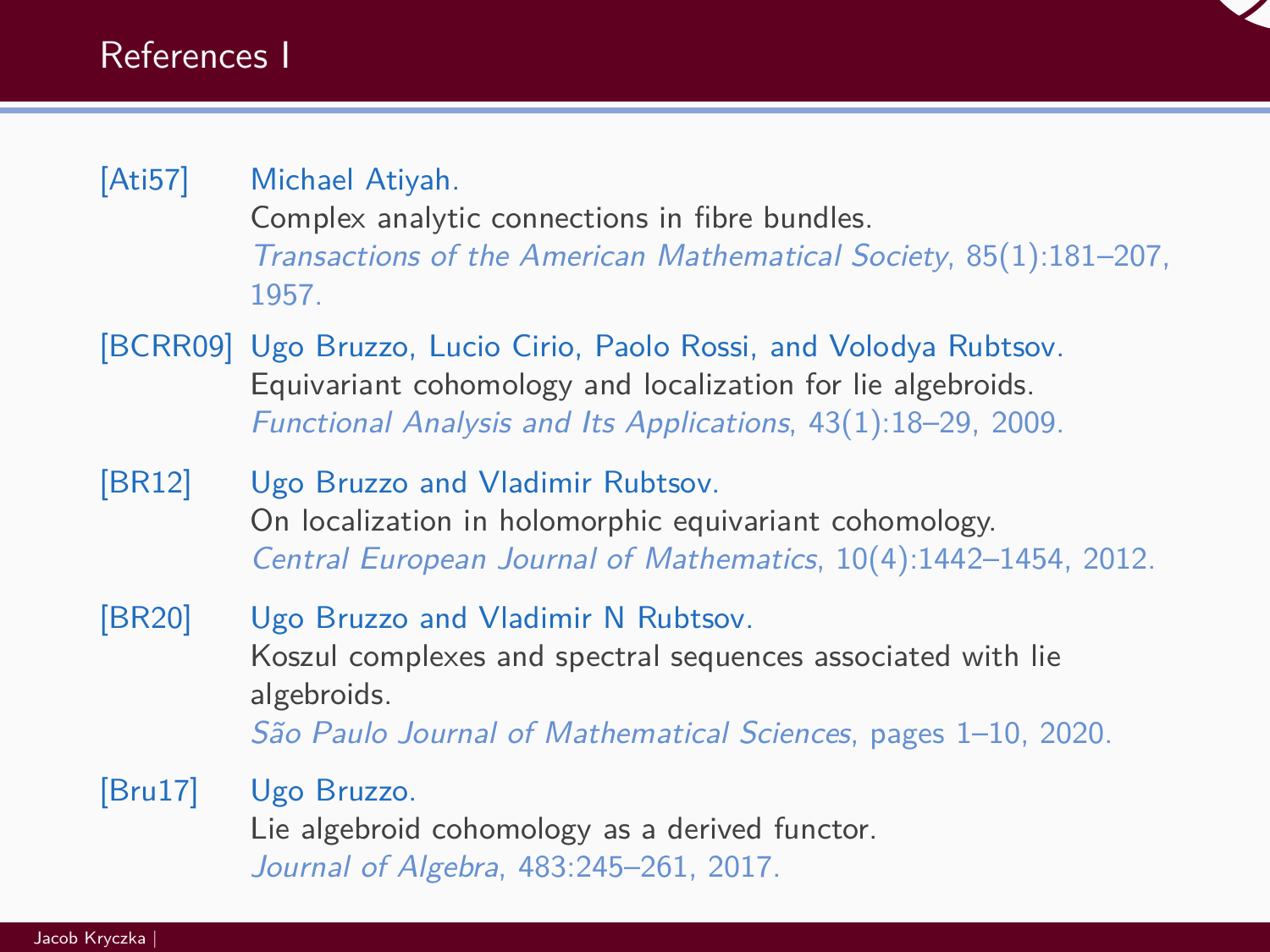

# <span id="page-41-0"></span>[Ati57] Michael Atiyah.

Complex analytic connections in fibre bundles. Transactions of the American Mathematical Society, 85(1):181–207, 1957.

- <span id="page-41-3"></span>[BCRR09] Ugo Bruzzo, Lucio Cirio, Paolo Rossi, and Volodya Rubtsov. Equivariant cohomology and localization for lie algebroids. Functional Analysis and Its Applications, 43(1):18–29, 2009.
- <span id="page-41-4"></span>[BR12] Ugo Bruzzo and Vladimir Rubtsov. On localization in holomorphic equivariant cohomology. Central European Journal of Mathematics, 10(4):1442–1454, 2012.
- <span id="page-41-2"></span>[BR20] Ugo Bruzzo and Vladimir N Rubtsov. Koszul complexes and spectral sequences associated with lie algebroids. São Paulo Journal of Mathematical Sciences, pages 1–10, 2020.

<span id="page-41-1"></span>[Bru17] Ugo Bruzzo. Lie algebroid cohomology as a derived functor. Journal of Algebra, 483:245–261, 2017.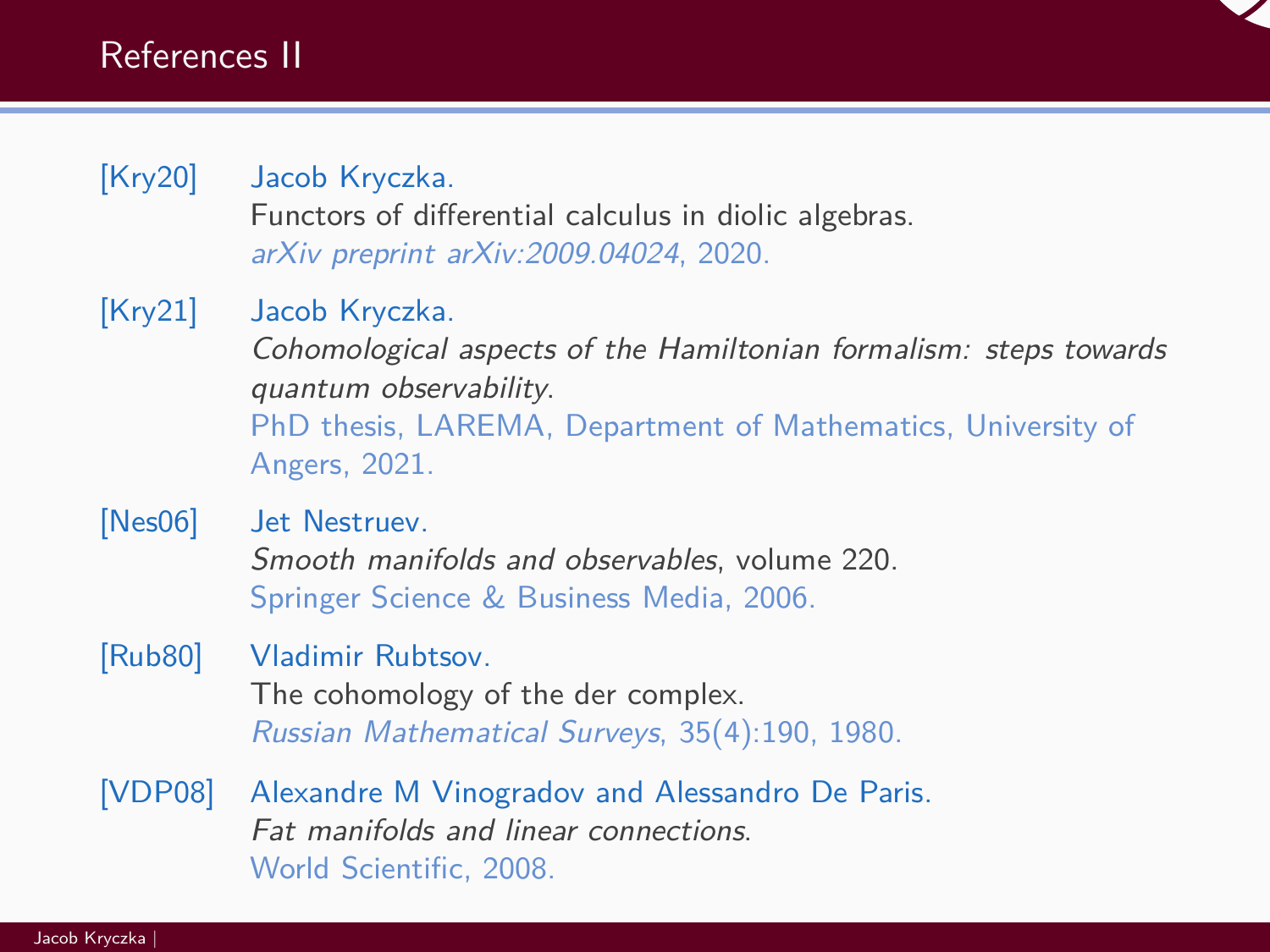

# <span id="page-42-3"></span>[Kry20] Jacob Kryczka.

Functors of differential calculus in diolic algebras. arXiv preprint arXiv:2009.04024, 2020.

# <span id="page-42-2"></span>[Kry21] Jacob Kryczka.

Cohomological aspects of the Hamiltonian formalism: steps towards quantum observability. PhD thesis, LAREMA, Department of Mathematics, University of Angers, 2021.

### <span id="page-42-0"></span>[Nes06] Jet Nestruev. Smooth manifolds and observables, volume 220. Springer Science & Business Media, 2006.

### <span id="page-42-4"></span>[Rub80] Vladimir Rubtsov.

The cohomology of the der complex. Russian Mathematical Surveys, 35(4):190, 1980.

<span id="page-42-1"></span>[VDP08] Alexandre M Vinogradov and Alessandro De Paris. Fat manifolds and linear connections. World Scientific, 2008.